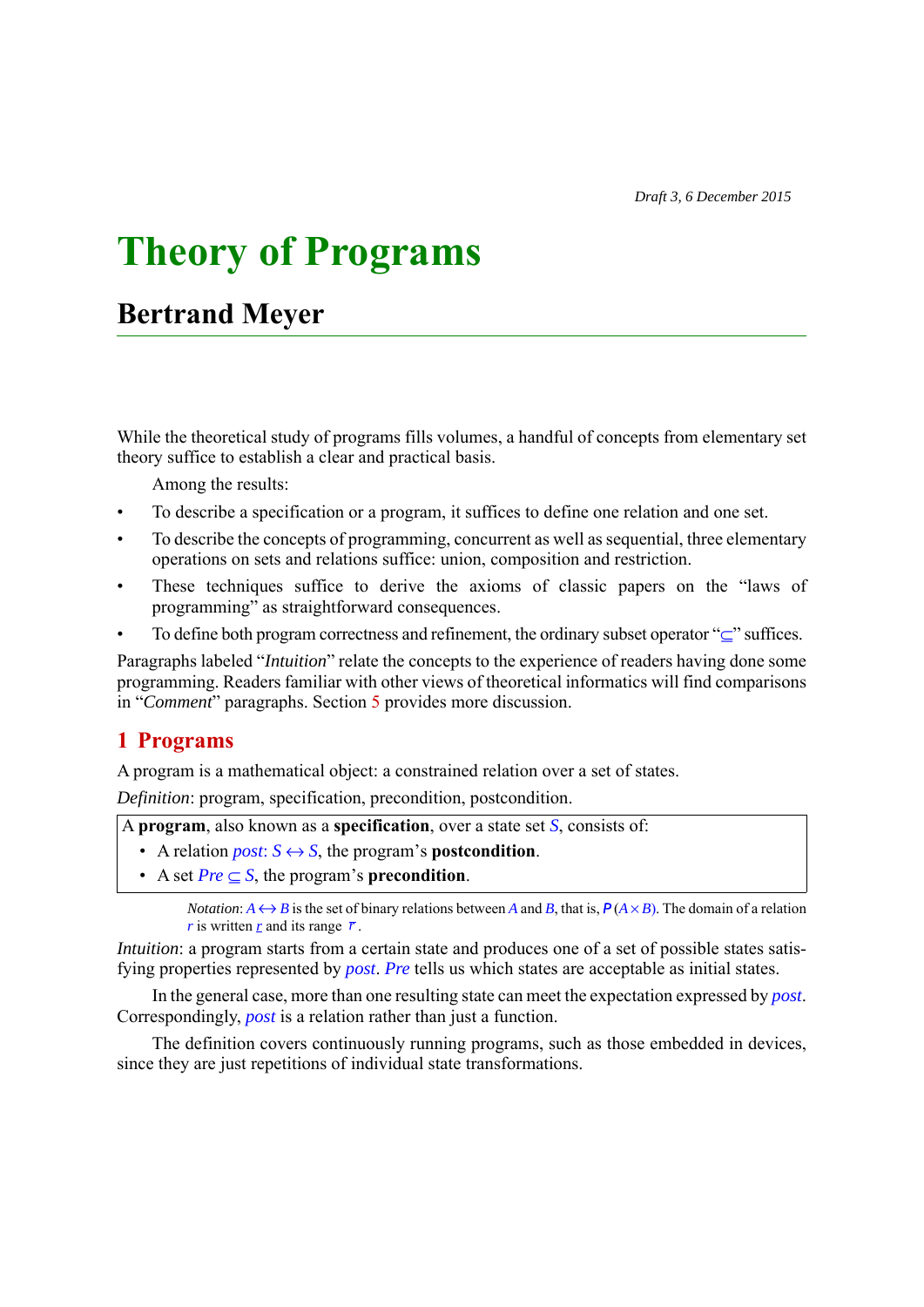# **Theory of Programs**

# **Bertrand Meyer**

While the theoretical study of programs fills volumes, a handful of concepts from elementary set theory suffice to establish a clear and practical basis.

Among the results:

- To describe a specification or a program, it suffices to define one relation and one set.
- To describe the concepts of programming, concurrent as well as sequential, three elementary operations on sets and relations suffice: union, composition and restriction.
- These techniques suffice to derive the axioms of classic papers on the "laws of programming" as straightforward consequences.
- To define both program correctness and refinement, the ordinary subset operator "⊆" suffices.

Paragraphs labeled "*Intuition*" relate the concepts to the experience of readers having done some programming. Readers familiar with other views of theoretical informatics will find comparisons in "*Comment*" paragraphs. Section [5](#page-19-0) provides more discussion.

# <span id="page-0-0"></span>**1 Programs**

A program is a mathematical object: a constrained relation over a set of states.

*Definition*: program, specification, precondition, postcondition.

A **program**, also known as a **specification**, over a state set *S*, consists of:

- A relation *post*:  $S \leftrightarrow S$ , the program's **postcondition**.
- A set *Pre* ⊆ *S*, the program's **precondition**.

*Notation*:  $A \leftrightarrow B$  is the set of binary relations between *A* and *B*, that is,  $P(A \times B)$ . The domain of a relation *r* is written  $r$  and its range  $\bar{r}$ .

*Intuition*: a program starts from a certain state and produces one of a set of possible states satisfying properties represented by *post*. *Pre* tells us which states are acceptable as initial states.

In the general case, more than one resulting state can meet the expectation expressed by *post*. Correspondingly, *post* is a relation rather than just a function.

The definition covers continuously running programs, such as those embedded in devices, since they are just repetitions of individual state transformations.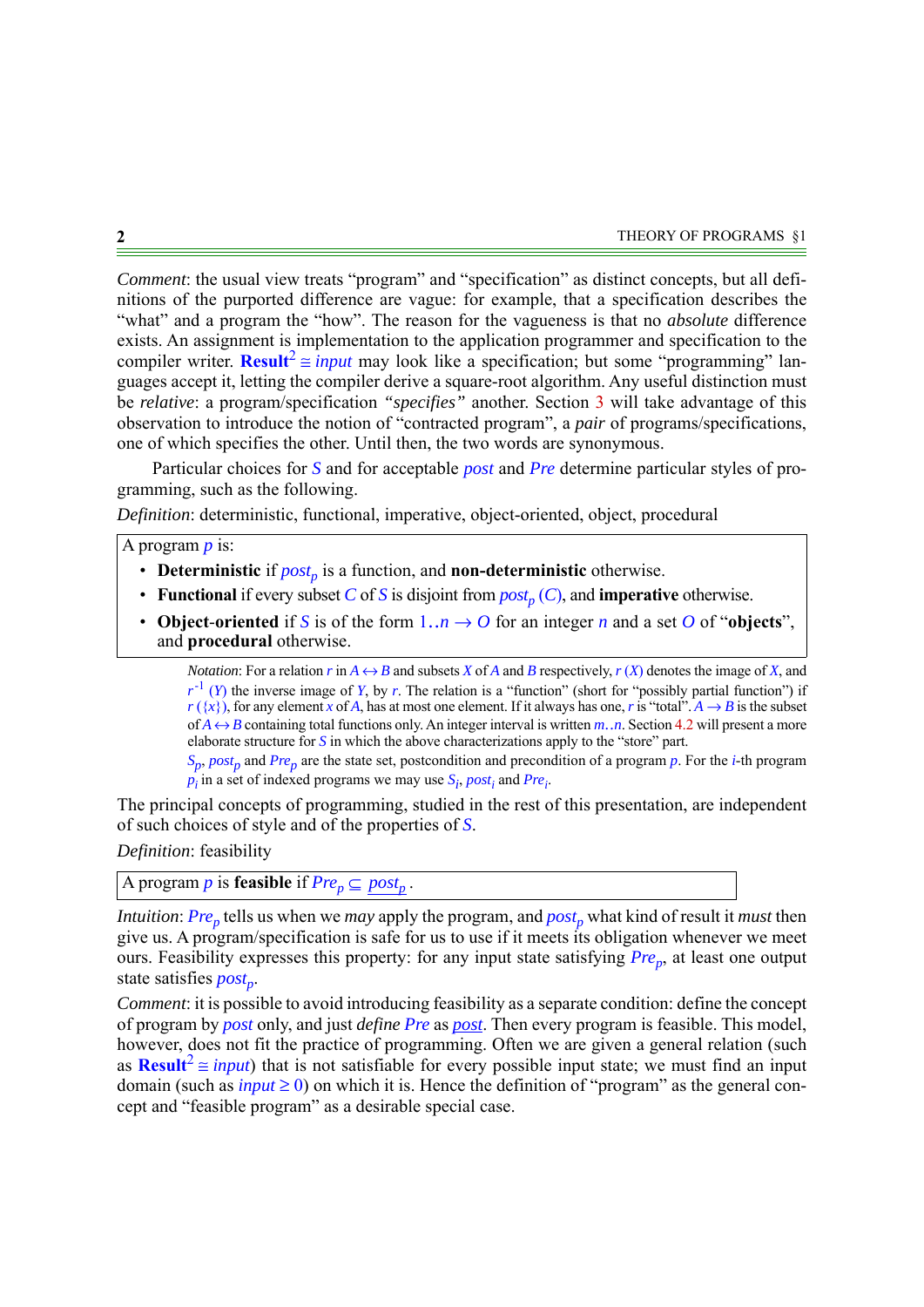*Comment*: the usual view treats "program" and "specification" as distinct concepts, but all definitions of the purported difference are vague: for example, that a specification describes the "what" and a program the "how". The reason for the vagueness is that no *absolute* difference exists. An assignment is implementation to the application programmer and specification to the compiler writer. **Result**<sup>2</sup>  $\cong$  *input* may look like a specification; but some "programming" languages accept it, letting the compiler derive a square-root algorithm. Any useful distinction must be *relative*: a program/specification *"specifies"* another. Section [3](#page-14-0) will take advantage of this observation to introduce the notion of "contracted program", a *pair* of programs/specifications, one of which specifies the other. Until then, the two words are synonymous.

Particular choices for *S* and for acceptable *post* and *Pre* determine particular styles of programming, such as the following.

*Definition*: deterministic, functional, imperative, object-oriented, object, procedural

A program *p* is:

- **Deterministic** if  $post_p$  is a function, and **non-deterministic** otherwise.
- **Functional** if every subset *C* of *S* is disjoint from  $post_p(C)$ , and **imperative** otherwise.
- **Object-oriented** if *S* is of the form  $1 \, . \, n \rightarrow O$  for an integer *n* and a set *O* of "objects", and **procedural** otherwise.

*Notation*: For a relation *r* in  $A \leftrightarrow B$  and subsets *X* of *A* and *B* respectively, *r* (*X*) denotes the image of *X*, and  $r^{-1}$  (*Y*) the inverse image of *Y*, by *r*. The relation is a "function" (short for "possibly partial function") if  $r(\{x\})$ , for any element *x* of *A*, has at most one element. If it always has one, *r* is "total".  $A \rightarrow B$  is the subset of  $A \leftrightarrow B$  containing total functions only. An integer interval is written *m*..*n*. Section [4.2](#page-16-0) will present a more elaborate structure for *S* in which the above characterizations apply to the "store" part.

 $S_p$ , *post<sub>p</sub>* and *Pre<sub>p</sub>* are the state set, postcondition and precondition of a program *p*. For the *i*-th program  $p_i$  in a set of indexed programs we may use  $S_i$ , *post<sub>i</sub>* and *Pre<sub>i</sub>*.

The principal concepts of programming, studied in the rest of this presentation, are independent of such choices of style and of the properties of *S*.

*Definition*: feasibility

A program *p* is **feasible** if  $Pre_p \subseteq post_p$ .

*Intuition: Pre<sub>p</sub>* tells us when we *may* apply the program, and  $post_p$  what kind of result it *must* then give us. A program/specification is safe for us to use if it meets its obligation whenever we meet ours. Feasibility expresses this property: for any input state satisfying *Pre<sub>p</sub>*, at least one output state satisfies *post*<sub>n</sub>.

*Comment*: it is possible to avoid introducing feasibility as a separate condition: define the concept of program by *post* only, and just *define Pre* as *post*. Then every program is feasible. This model, however, does not fit the practice of programming. Often we are given a general relation (such as **Result**<sup>2</sup>  $\equiv$  *input*) that is not satisfiable for every possible input state; we must find an input domain (such as  $input \ge 0$ ) on which it is. Hence the definition of "program" as the general concept and "feasible program" as a desirable special case.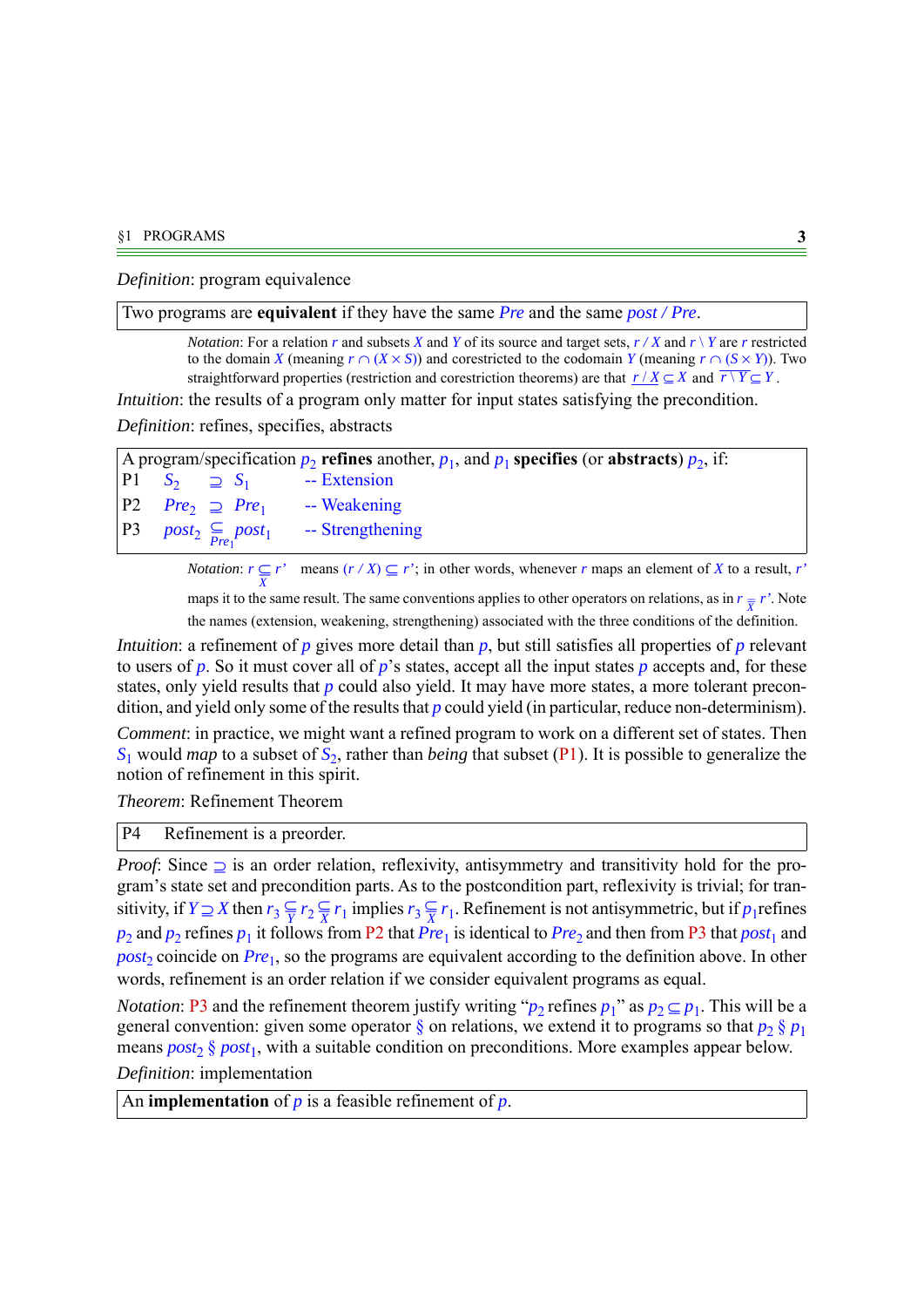*Definition*: program equivalence

Two programs are **equivalent** if they have the same *Pre* and the same *post / Pre*.

*Notation*: For a relation *r* and subsets *X* and *Y* of its source and target sets,  $r / X$  and  $r \ Y$  are *r* restricted to the domain *X* (meaning  $r \cap (X \times S)$ ) and corestricted to the codomain *Y* (meaning  $r \cap (S \times Y)$ ). Two straightforward properties (restriction and corestriction theorems) are that  $\frac{r}{X} \subseteq X$  and  $\frac{r}{Y} \subseteq Y$ .

*Intuition*: the results of a program only matter for input states satisfying the precondition.

*Definition*: refines, specifies, abstracts

<span id="page-2-2"></span><span id="page-2-1"></span><span id="page-2-0"></span>

|  |  | A program/specification $p_2$ refines another, $p_1$ , and $p_1$ specifies (or abstracts) $p_2$ , if:                         |
|--|--|-------------------------------------------------------------------------------------------------------------------------------|
|  |  | $\begin{array}{ccc}  P1 & S_2 & \supseteq S_1 & \cdots \end{array}$ Extension                                                 |
|  |  | $ P2 Pre_2 \supset Pre_1$ -- Weakening                                                                                        |
|  |  | $\begin{array}{ccc}\n\text{P3} & \text{post}_2 \subseteq \text{post}_1 \\ \text{Pre}_1 & \text{--Strengthening}\n\end{array}$ |

*Notation:*  $r \subseteq r'$  means  $(r / X) \subseteq r'$ ; in other words, whenever *r* maps an element of *X* to a result, *r'* 

maps it to the same result. The same conventions applies to other operators on relations, as in  $r \frac{1}{\overline{X}} r'$ . Note the names (extension, weakening, strengthening) associated with the three conditions of the definition.

*Intuition*: a refinement of *p* gives more detail than *p*, but still satisfies all properties of *p* relevant to users of *p*. So it must cover all of *p*'s states, accept all the input states *p* accepts and, for these states, only yield results that *p* could also yield. It may have more states, a more tolerant precondition, and yield only some of the results that *p* could yield (in particular, reduce non-determinism).

*Comment*: in practice, we might want a refined program to work on a different set of states. Then  $S_1$  would *map* to a subset of  $S_2$ , rather than *being* that subset [\(P1](#page-2-0)). It is possible to generalize the notion of refinement in this spirit.

*Theorem*: Refinement Theorem

```
P4 Refinement is a preorder.
```
*Proof*: Since ⊃ is an order relation, reflexivity, antisymmetry and transitivity hold for the program's state set and precondition parts. As to the postcondition part, reflexivity is trivial; for transitivity, if  $Y \supseteq X$  then  $r_3 \supseteq r_2 \supseteq r_1$  implies  $r_3 \supseteq r_1$ . Refinement is not antisymmetric, but if  $p_1$  refines  $p_2$  and  $p_2$  refines  $p_1$  it follows from [P2](#page-2-1) that  $\hat{Pre}_1$  is identical to  $Pre_2$  and then from [P3](#page-2-2) that  $post_1$  and *post*<sub>2</sub> coincide on *Pre*<sub>1</sub>, so the programs are equivalent according to the definition above. In other words, refinement is an order relation if we consider equivalent programs as equal.

*Notation*: [P3](#page-2-2) and the refinement theorem justify writing " $p_2$  refines  $p_1$ " as  $p_2 \subseteq p_1$ . This will be a general convention: given some operator  $\S$  on relations, we extend it to programs so that  $p_2 \S p_1$ means *post*<sub>2</sub> § *post*<sub>1</sub>, with a suitable condition on preconditions. More examples appear below.

*Definition*: implementation

An **implementation** of *p* is a feasible refinement of *p*.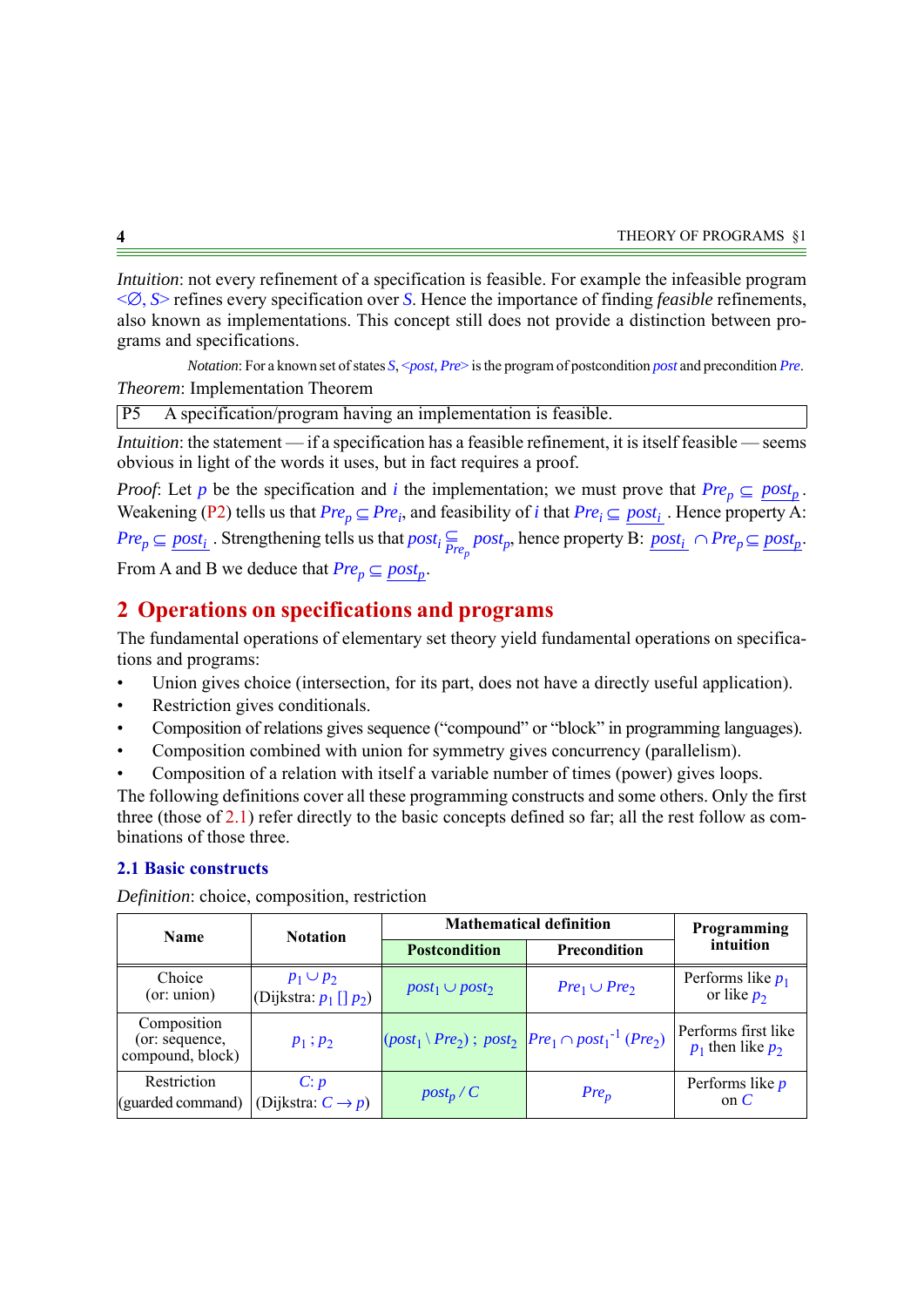*Intuition*: not every refinement of a specification is feasible. For example the infeasible program <∅, *S*> refines every specification over *S*. Hence the importance of finding *feasible* refinements, also known as implementations. This concept still does not provide a distinction between programs and specifications.

*Notation*: For a known set of states *S*, <*post, Pre*> is the program of postcondition *post* and precondition *Pre*. *Theorem*: Implementation Theorem

<span id="page-3-1"></span>P5 A specification/program having an implementation is feasible.

*Intuition*: the statement — if a specification has a feasible refinement, it is itself feasible — seems obvious in light of the words it uses, but in fact requires a proof.

*Proof*: Let *p* be the specification and *i* the implementation; we must prove that  $Pre_p \subseteq post_p$ . Weakening [\(P2\)](#page-2-1) tells us that  $Pre_p \subseteq Pre_i$ , and feasibility of *i* that  $Pre_i \subseteq post_i$ . Hence property A:  $Pre_p \subseteq \underline{post_i}$ . Strengthening tells us that  $post_i \subseteq post_p$ , hence property B:  $\underline{post_i} \cap Pre_p \subseteq \underline{post_p}$ . From A and B we deduce that  $Pre_p \subseteq \underline{post}_p$ .

# <span id="page-3-2"></span>**2 Operations on specifications and programs**

The fundamental operations of elementary set theory yield fundamental operations on specifications and programs:

- Union gives choice (intersection, for its part, does not have a directly useful application).
- Restriction gives conditionals.
- Composition of relations gives sequence ("compound" or "block" in programming languages).
- Composition combined with union for symmetry gives concurrency (parallelism).
- Composition of a relation with itself a variable number of times (power) gives loops.

The following definitions cover all these programming constructs and some others. Only the first three (those of [2.1\)](#page-3-0) refer directly to the basic concepts defined so far; all the rest follow as combinations of those three.

# <span id="page-3-0"></span>**2.1 Basic constructs**

*Definition*: choice, composition, restriction

| <b>Name</b>                                       | <b>Notation</b>                               | <b>Mathematical definition</b>                                                      | Programming         |                                              |
|---------------------------------------------------|-----------------------------------------------|-------------------------------------------------------------------------------------|---------------------|----------------------------------------------|
|                                                   |                                               | <b>Postcondition</b>                                                                | <b>Precondition</b> | intuition                                    |
| Choice<br>(or: union)                             | $p_1 \cup p_2$<br>(Dijkstra: $p_1$ [] $p_2$ ) | $post_1 \cup post_2$                                                                | $Pre_1 \cup Pre_2$  | Performs like $p_1$<br>or like $p_2$         |
| Composition<br>(or: sequence,<br>compound, block) | $p_1$ ; $p_2$                                 | $(post_1 \backslash Pre_2)$ ; $post_2$ $Pre_1 \cap post_1^{-1}$ (Pre <sub>2</sub> ) |                     | Performs first like<br>$p_1$ then like $p_2$ |
| Restriction<br>(guarded command)                  | C: p<br>(Dijkstra: $C \rightarrow p$ )        | $post_p/C$                                                                          | $Pre_p$             | Performs like $p$<br>on $\mathcal C$         |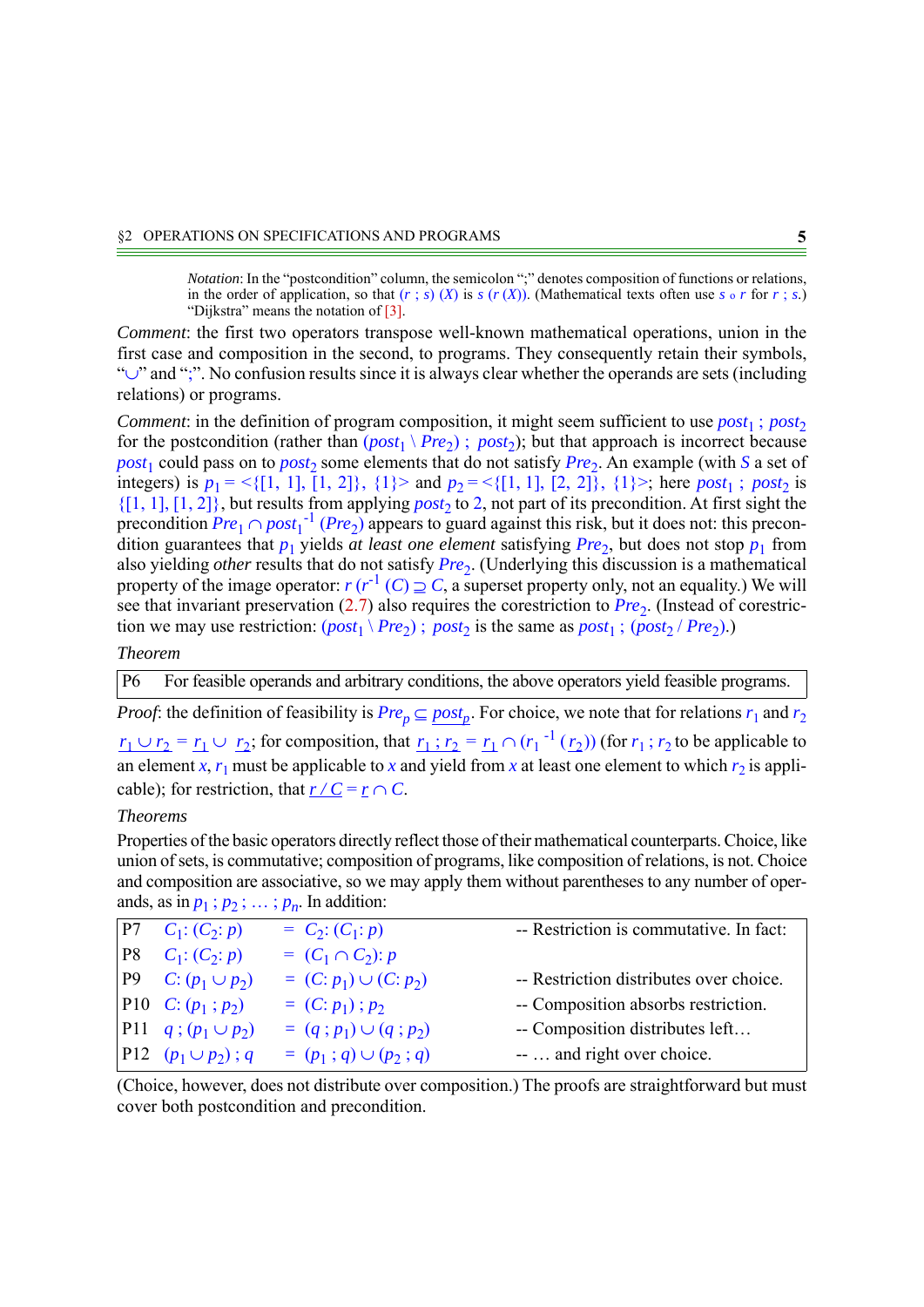*Notation*: In the "postcondition" column, the semicolon ";" denotes composition of functions or relations, in the order of application, so that  $(r ; s)$   $(X)$  is  $s (r(X))$ . (Mathematical texts often use  $s \circ r$  for  $r ; s$ .) "Dijkstra" means the notation of [\[3\]](#page-26-0).

*Comment*: the first two operators transpose well-known mathematical operations, union in the first case and composition in the second, to programs. They consequently retain their symbols, "∪" and ";". No confusion results since it is always clear whether the operands are sets (including relations) or programs.

*Comment*: in the definition of program composition, it might seem sufficient to use  $post_1$ ;  $post_2$ for the postcondition (rather than  $(post_1 \setminus Pre_2)$ ; *post<sub>2</sub>*); but that approach is incorrect because *post*<sub>1</sub> could pass on to *post*<sub>2</sub> some elements that do not satisfy  $Pre_2$ . An example (with *S* a set of integers) is  $p_1 = \{ [1, 1], [1, 2] \}$ ,  $\{1\}$  and  $p_2 = \{ [1, 1], [2, 2] \}$ ,  $\{1\}$ ; here *post*<sub>1</sub>; *post*<sub>2</sub> is  $\{[1, 1], [1, 2]\}$ , but results from applying *post*<sub>2</sub> to 2, not part of its precondition. At first sight the precondition  $Pre_1 \cap post_1^{-1}$  (*Pre*<sub>2</sub>) appears to guard against this risk, but it does not: this precondition guarantees that  $p_1$  yields *at least one element* satisfying  $Pre_2$ , but does not stop  $p_1$  from also yielding *other* results that do not satisfy *Pre*<sub>2</sub>. (Underlying this discussion is a mathematical property of the image operator:  $r(r^{-1}(C) \supseteq C$ , a superset property only, not an equality.) We will see that invariant preservation  $(2.7)$  also requires the corestriction to  $Pre<sub>2</sub>$ . (Instead of corestriction we may use restriction:  $(post_1 \backslash Pre_2)$ ; *post*<sub>2</sub> is the same as  $post_1$ ;  $(post_2 / Pre_2)$ .)

*Theorem*

P6 For feasible operands and arbitrary conditions, the above operators yield feasible programs.

*Proof*: the definition of feasibility is  $Pre_p \subseteq post_p$ . For choice, we note that for relations  $r_1$  and  $r_2$  $r_1 \cup r_2 = r_1 \cup r_2$ ; for composition, that  $r_1$ ;  $r_2 = r_1 \cap (r_1^{-1}(r_2))$  (for  $r_1$ ;  $r_2$  to be applicable to an element *x*,  $r_1$  must be applicable to *x* and yield from *x* at least one element to which  $r_2$  is applicable); for restriction, that  $r / C = r \cap C$ .

#### *Theorems*

Properties of the basic operators directly reflect those of their mathematical counterparts. Choice, like union of sets, is commutative; composition of programs, like composition of relations, is not. Choice and composition are associative, so we may apply them without parentheses to any number of operands, as in  $p_1$ ;  $p_2$ ; ...;  $p_n$ . In addition:

<span id="page-4-3"></span><span id="page-4-2"></span><span id="page-4-1"></span>

|    | P7 $C_1: (C_2: p)$       | $= C_2: (C_1: p)$          | -- Restriction is commutative. In fact: |
|----|--------------------------|----------------------------|-----------------------------------------|
| P8 | $C_1: (C_2: p)$          | $= (C_1 \cap C_2)$ : p     |                                         |
|    | P9 $C: (p_1 \cup p_2)$   | $= (C: p_1) \cup (C: p_2)$ | -- Restriction distributes over choice. |
|    | P10 $C: (p_1 ; p_2)$     | $= (C: p_1); p_2$          | -- Composition absorbs restriction.     |
|    | P11 $q: (p_1 \cup p_2)$  | $=(q, p_1) \cup (q, p_2)$  | -- Composition distributes left         |
|    | P12 $(p_1 \cup p_2)$ ; q | $= (p_1; q) \cup (p_2; q)$ | --  and right over choice.              |

<span id="page-4-0"></span>(Choice, however, does not distribute over composition.) The proofs are straightforward but must cover both postcondition and precondition.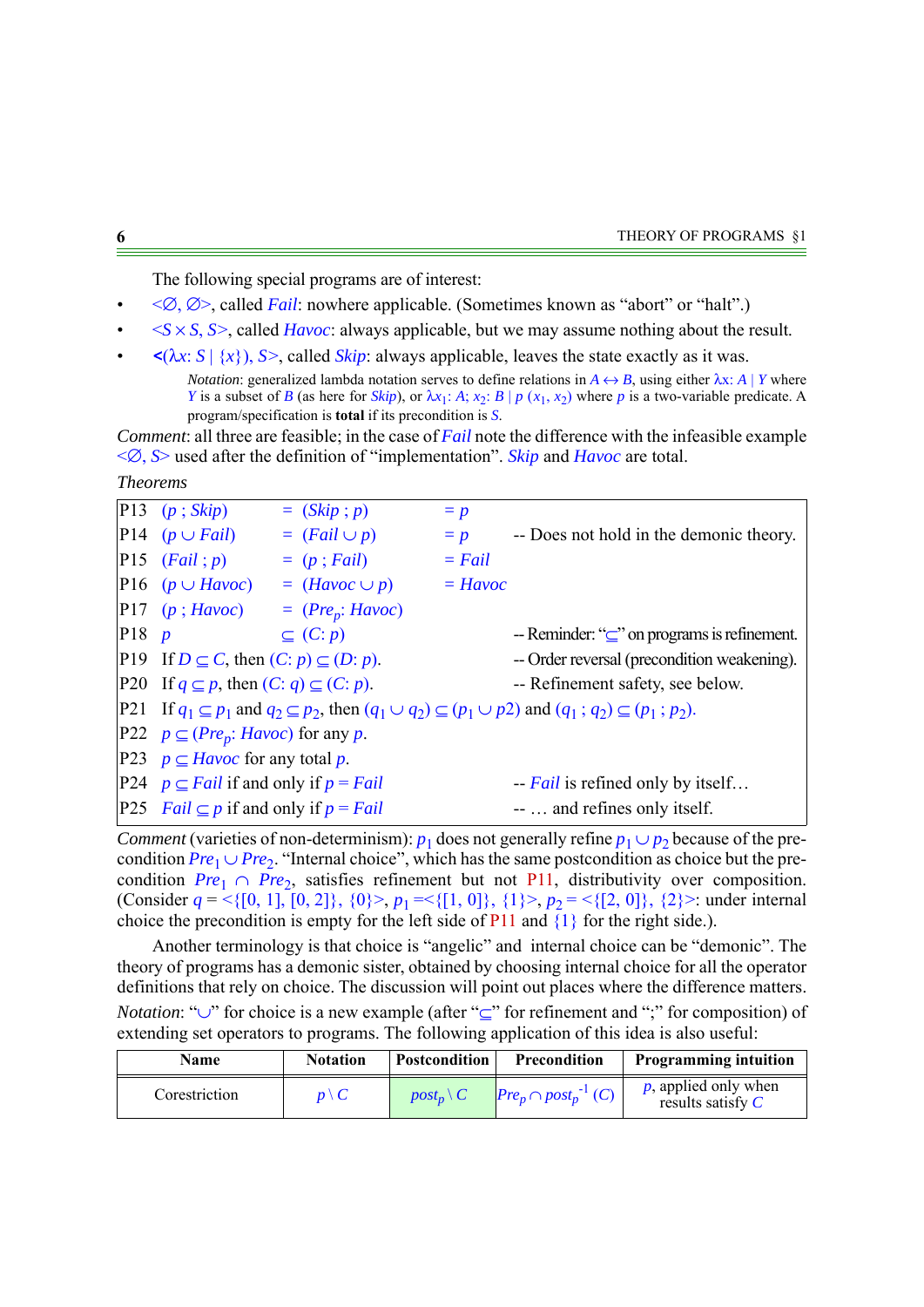The following special programs are of interest:

- <∅, ∅>, called *Fail*: nowhere applicable. (Sometimes known as "abort" or "halt".)
- $\langle S \times S, S \rangle$ , called *Havoc*: always applicable, but we may assume nothing about the result.
- $\langle \lambda x : S | \{x\} \rangle$ , *S*>, called *Skip*: always applicable, leaves the state exactly as it was.

*Notation*: generalized lambda notation serves to define relations in  $A \leftrightarrow B$ , using either  $\lambda x$ : *A* | *Y* where *Y* is a subset of *B* (as here for *Skip*), or  $\lambda x_1$ : *A*;  $x_2$ : *B* | *p* ( $x_1$ ,  $x_2$ ) where *p* is a two-variable predicate. A program/specification is **total** if its precondition is *S*.

*Comment*: all three are feasible; in the case of *Fail* note the difference with the infeasible example <∅, *S*> used after the definition of "implementation". *Skip* and *Havoc* are total.

#### *Theorems*

<span id="page-5-1"></span><span id="page-5-0"></span>

|       | P13(p; Skip)                                              |                         |           |                                                                                                                                                |
|-------|-----------------------------------------------------------|-------------------------|-----------|------------------------------------------------------------------------------------------------------------------------------------------------|
|       |                                                           | $=$ $(Skip ; p)$        | $= p$     |                                                                                                                                                |
|       | $P14$ $(p \cup Tail)$                                     | $= (Tail \cup p)$       | $= p$     | -- Does not hold in the demonic theory.                                                                                                        |
|       | $P15$ $(Fail ; p)$                                        | $= (p ; \textit{fail})$ | $= Fail$  |                                                                                                                                                |
|       | P <sub>16</sub> $(p \cup \text{Havoc})$                   | $= (Havoc \cup p)$      | $=$ Havoc |                                                                                                                                                |
|       | P17(p;Havoc)                                              | $= (Prep: Havoc)$       |           |                                                                                                                                                |
| P18 p |                                                           | $\subseteq$ $(C;p)$     |           | -- Reminder: " $\subseteq$ " on programs is refinement.                                                                                        |
|       | P19 If $D \subseteq C$ , then $(C: p) \subseteq (D: p)$ . |                         |           | -- Order reversal (precondition weakening).                                                                                                    |
|       | P20 If $q \subseteq p$ , then $(C: q) \subseteq (C: p)$ . |                         |           | -- Refinement safety, see below.                                                                                                               |
|       |                                                           |                         |           | [P21 If $q_1 \subseteq p_1$ and $q_2 \subseteq p_2$ , then $(q_1 \cup q_2) \subseteq (p_1 \cup p_2)$ and $(q_1 : q_2) \subseteq (p_1 : p_2)$ . |
|       | P22 $p \subseteq (Pre_p: Haveo)$ for any p.               |                         |           |                                                                                                                                                |
|       | P23 $p \subseteq$ <i>Havoc</i> for any total <i>p</i> .   |                         |           |                                                                                                                                                |
|       | P24 $p \subseteq$ <i>Fail</i> if and only if $p = Fail$   |                         |           | -- <i>Fail</i> is refined only by itself                                                                                                       |
|       | P25 Fail $\subseteq p$ if and only if $p = Fail$          |                         |           | --  and refines only itself.                                                                                                                   |

<span id="page-5-4"></span><span id="page-5-3"></span><span id="page-5-2"></span>*Comment* (varieties of non-determinism):  $p_1$  does not generally refine  $p_1 \cup p_2$  because of the precondition  $Pre_1 \cup Pre_2$ . "Internal choice", which has the same postcondition as choice but the precondition  $Pre_1 \cap Pre_2$ , satisfies refinement but not [P11](#page-4-0), distributivity over composition. (Consider  $q = \{ [0, 1], [0, 2] \}, \{0\} > 0, p_1 = \{ [1, 0] \}, \{1\} > 0, p_2 = \{ [2, 0] \}, \{2\} > 0$ : under internal choice the precondition is empty for the left side of [P11](#page-4-0) and  $\{1\}$  for the right side.).

Another terminology is that choice is "angelic" and internal choice can be "demonic". The theory of programs has a demonic sister, obtained by choosing internal choice for all the operator definitions that rely on choice. The discussion will point out places where the difference matters.

*Notation*: "∪" for choice is a new example (after "⊆" for refinement and ";" for composition) of extending set operators to programs. The following application of this idea is also useful:

| Name          | <b>Notation</b> | <b>Postcondition</b> | Precondition                | <b>Programming intuition</b>                         |
|---------------|-----------------|----------------------|-----------------------------|------------------------------------------------------|
| Corestriction | $p \setminus C$ | $post_p \setminus C$ | $Pre_p \cap post_p^{-1}(C)$ | $\dot{p}$ , applied only when<br>results satisfy $C$ |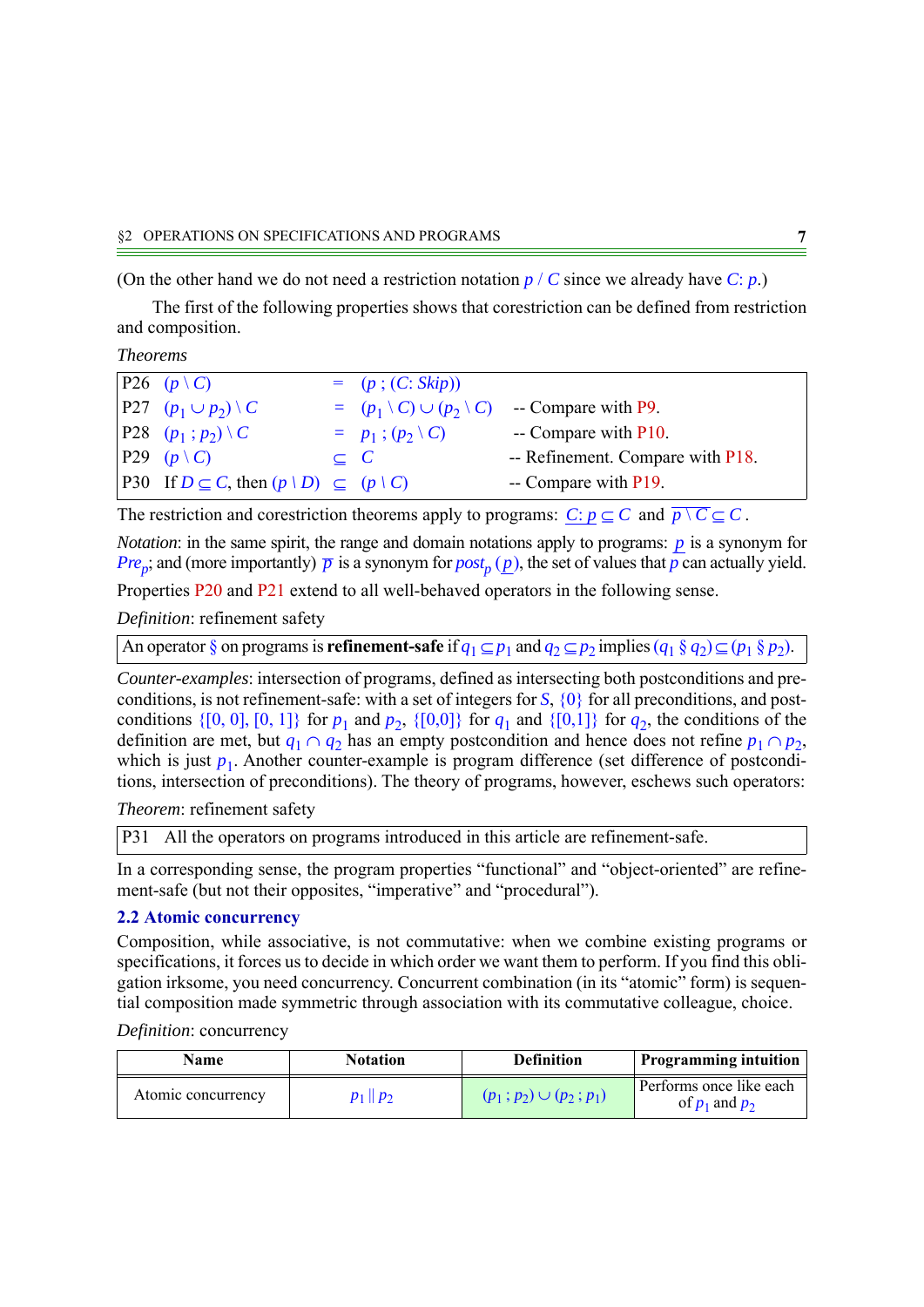(On the other hand we do not need a restriction notation *p* / *C* since we already have *C*: *p*.)

The first of the following properties shows that corestriction can be defined from restriction and composition.

*Theorems*

<span id="page-6-1"></span><span id="page-6-0"></span>

| $ P26 (p \setminus C) $                                                   | $= (p; (C; Skip))$                           |                                  |
|---------------------------------------------------------------------------|----------------------------------------------|----------------------------------|
| $ P27 (p_1 \cup p_2) \setminus C $                                        | $= (p_1 \setminus C) \cup (p_2 \setminus C)$ | -- Compare with P9.              |
| $\begin{bmatrix} P28 & (p_1 ; p_2) \end{bmatrix}$                         | $= p_1$ ; $(p_2 \setminus C)$                | $\sim$ Compare with P10.         |
| $ P29 (p \setminus C) $                                                   | $\subset C$                                  | -- Refinement. Compare with P18. |
| P30 If $D \subseteq C$ , then $(p \setminus D) \subseteq (p \setminus C)$ |                                              | -- Compare with P19.             |

The restriction and corestriction theorems apply to programs:  $C: p \subseteq C$  and  $\overline{p \setminus C} \subseteq C$ .

*Notation*: in the same spirit, the range and domain notations apply to programs:  $\dot{p}$  is a synonym for *Pre<sub>p</sub>*; and (more importantly)  $\overline{p}$  is a synonym for  $post_p(p)$ , the set of values that *p* can actually yield.

Properties [P20](#page-5-2) and [P21](#page-5-3) extend to all well-behaved operators in the following sense.

*Definition*: refinement safety

An operator § on programs is **refinement-safe** if  $q_1 \subseteq p_1$  and  $q_2 \subseteq p_2$  implies  $(q_1 \S q_2) \subseteq (p_1 \S p_2)$ .

*Counter-examples*: intersection of programs, defined as intersecting both postconditions and preconditions, is not refinement-safe: with a set of integers for  $S$ ,  $\{0\}$  for all preconditions, and postconditions  $\{[0, 0], [0, 1]\}$  for  $p_1$  and  $p_2$ ,  $\{[0, 0]\}$  for  $q_1$  and  $\{[0, 1]\}$  for  $q_2$ , the conditions of the definition are met, but  $q_1 \cap q_2$  has an empty postcondition and hence does not refine  $p_1 \cap p_2$ , which is just  $p_1$ . Another counter-example is program difference (set difference of postconditions, intersection of preconditions). The theory of programs, however, eschews such operators:

*Theorem*: refinement safety

P31 All the operators on programs introduced in this article are refinement-safe.

In a corresponding sense, the program properties "functional" and "object-oriented" are refinement-safe (but not their opposites, "imperative" and "procedural").

### **2.2 Atomic concurrency**

Composition, while associative, is not commutative: when we combine existing programs or specifications, it forces us to decide in which order we want them to perform. If you find this obligation irksome, you need concurrency. Concurrent combination (in its "atomic" form) is sequential composition made symmetric through association with its commutative colleague, choice.

*Definition*: concurrency

| <b>Name</b>        | Notation            | <b>Definition</b>            | <b>Programming intuition</b>                  |
|--------------------|---------------------|------------------------------|-----------------------------------------------|
| Atomic concurrency | $p_1 \parallel p_2$ | $(p_1; p_2) \cup (p_2; p_1)$ | Performs once like each<br>of $p_1$ and $p_2$ |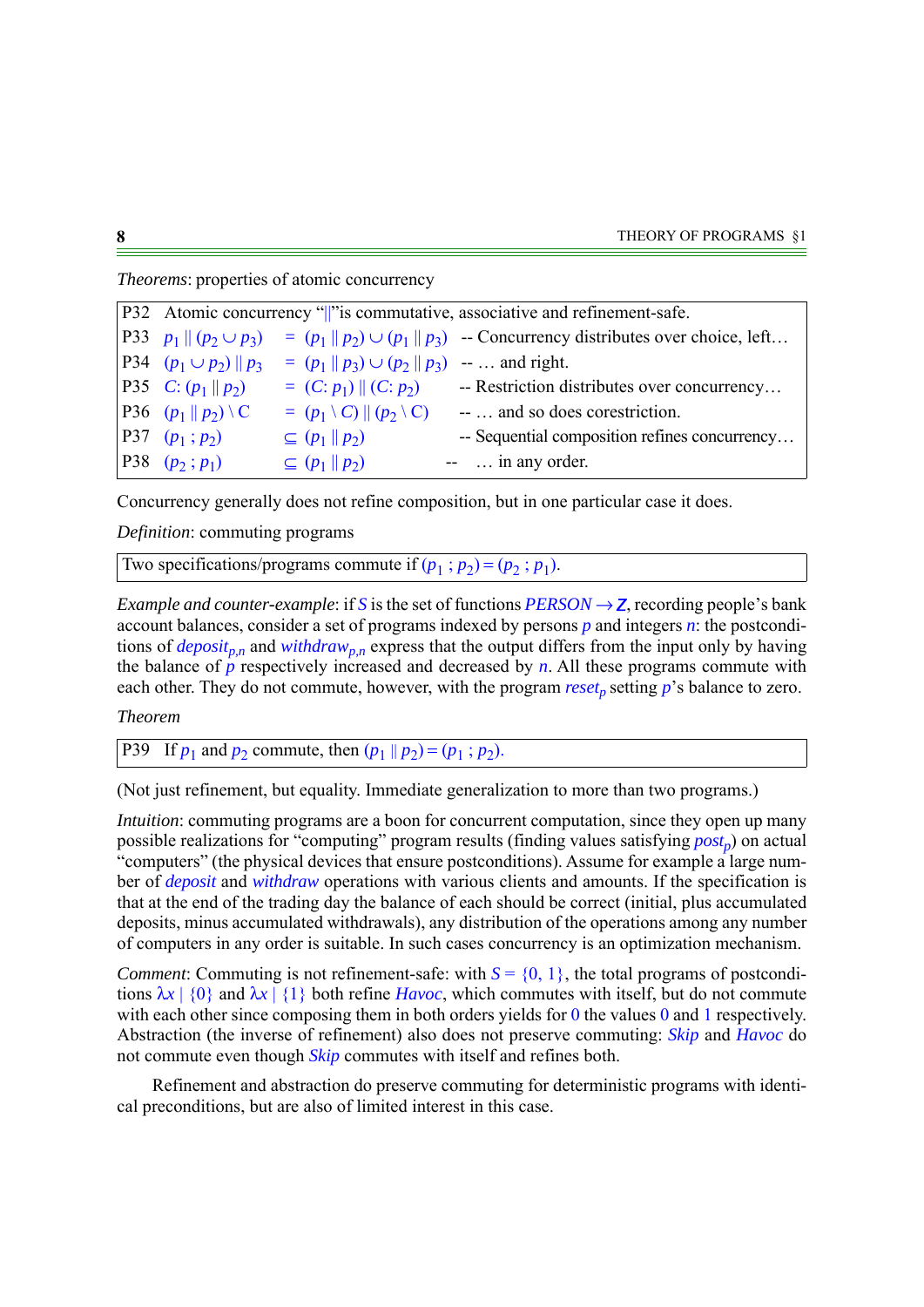*Theorems*: properties of atomic concurrency

|                                       |                                                  | [P32 Atomic concurrency "  "is commutative, associative and refinement-safe.                                                    |
|---------------------------------------|--------------------------------------------------|---------------------------------------------------------------------------------------------------------------------------------|
|                                       |                                                  | [P33 $p_1 \parallel (p_2 \cup p_3) = (p_1 \parallel p_2) \cup (p_1 \parallel p_3)$ -- Concurrency distributes over choice, left |
| $\ P34 (p_1 \cup p_2)\  p_3\ $        | $= (p_1    p_3) \cup (p_2    p_3)$ -  and right. |                                                                                                                                 |
| P35 C: $(p_1    p_2)$                 | $= (C: p_1)    (C: p_2)$                         | -- Restriction distributes over concurrency                                                                                     |
| <b>P36</b> $(p_1    p_2) \setminus C$ | $= (p_1 \setminus C)    (p_2 \setminus C)$       | -- and so does corestriction.                                                                                                   |
| P37 $(p_1 ; p_2)$                     | $\subseteq$ $(p_1    p_2)$                       | -- Sequential composition refines concurrency                                                                                   |
| P38 $(p_2; p_1)$                      | $\subseteq (p_1 \parallel p_2)$                  | $\leftarrow$ in any order.                                                                                                      |

Concurrency generally does not refine composition, but in one particular case it does.

*Definition*: commuting programs

Two specifications/programs commute if  $(p_1 ; p_2) = (p_2 ; p_1)$ .

*Example and counter-example:* if *S* is the set of functions  $PERSON \rightarrow Z$ , recording people's bank account balances, consider a set of programs indexed by persons *p* and integers *n*: the postconditions of  $deposit<sub>n,n</sub>$  and  $withdraw<sub>n,n</sub>$  express that the output differs from the input only by having the balance of  $\hat{p}$  respectively increased and decreased by  $n$ . All these programs commute with each other. They do not commute, however, with the program  $\text{reset}_p$  setting  $p$ 's balance to zero.

*Theorem*

P39 If  $p_1$  and  $p_2$  commute, then  $(p_1 || p_2) = (p_1 ; p_2)$ .

(Not just refinement, but equality. Immediate generalization to more than two programs.)

*Intuition*: commuting programs are a boon for concurrent computation, since they open up many possible realizations for "computing" program results (finding values satisfying *post<sub>n</sub>*) on actual "computers" (the physical devices that ensure postconditions). Assume for example a large number of *deposit* and *withdraw* operations with various clients and amounts. If the specification is that at the end of the trading day the balance of each should be correct (initial, plus accumulated deposits, minus accumulated withdrawals), any distribution of the operations among any number of computers in any order is suitable. In such cases concurrency is an optimization mechanism.

*Comment*: Commuting is not refinement-safe: with  $S = \{0, 1\}$ , the total programs of postconditions  $\lambda x \mid \{0\}$  and  $\lambda x \mid \{1\}$  both refine *Havoc*, which commutes with itself, but do not commute with each other since composing them in both orders yields for  $\theta$  the values  $\theta$  and  $1$  respectively. Abstraction (the inverse of refinement) also does not preserve commuting: *Skip* and *Havoc* do not commute even though *Skip* commutes with itself and refines both.

Refinement and abstraction do preserve commuting for deterministic programs with identical preconditions, but are also of limited interest in this case.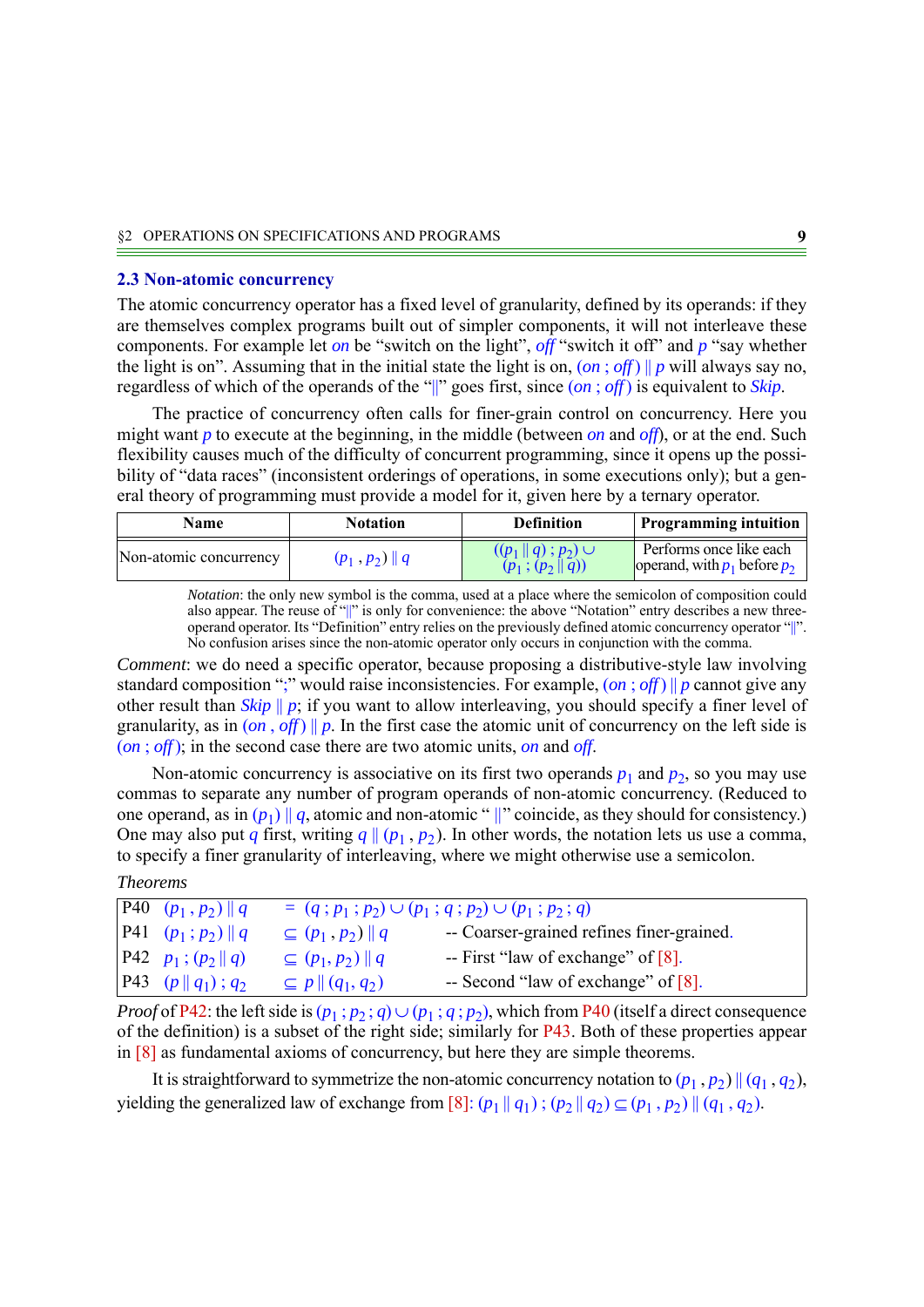#### **2.3 Non-atomic concurrency**

The atomic concurrency operator has a fixed level of granularity, defined by its operands: if they are themselves complex programs built out of simpler components, it will not interleave these components. For example let *on* be "switch on the light", *off* "switch it off" and *p* "say whether the light is on". Assuming that in the initial state the light is on,  $($ *on* ; *off*)  $\|$  *p* will always say no, regardless of which of the operands of the "||" goes first, since (*on* ; *off*) is equivalent to *Skip*.

The practice of concurrency often calls for finer-grain control on concurrency. Here you might want *p* to execute at the beginning, in the middle (between *on* and *off*), or at the end. Such flexibility causes much of the difficulty of concurrent programming, since it opens up the possibility of "data races" (inconsistent orderings of operations, in some executions only); but a general theory of programming must provide a model for it, given here by a ternary operator.

| Name                   | <b>Notation</b>   | <b>Definition</b>                                    | <b>Programming intuition</b>                                |
|------------------------|-------------------|------------------------------------------------------|-------------------------------------------------------------|
| Non-atomic concurrency | $(p_1, p_2) \  q$ | $((p_1 \parallel q)$ ; $p_2)$<br>$(p_1; (p_2    q))$ | Performs once like each<br>operand, with $p_1$ before $p_2$ |

*Notation*: the only new symbol is the comma, used at a place where the semicolon of composition could also appear. The reuse of "||" is only for convenience: the above "Notation" entry describes a new threeoperand operator. Its "Definition" entry relies on the previously defined atomic concurrency operator "||". No confusion arises since the non-atomic operator only occurs in conjunction with the comma.

*Comment*: we do need a specific operator, because proposing a distributive-style law involving standard composition ";" would raise inconsistencies. For example, (*on* ; *off*) || *p* cannot give any other result than *Skip*  $||p$ ; if you want to allow interleaving, you should specify a finer level of granularity, as in  $(\rho n, \rho f) || p$ . In the first case the atomic unit of concurrency on the left side is (*on* ; *off*); in the second case there are two atomic units, *on* and *off*.

Non-atomic concurrency is associative on its first two operands  $p_1$  and  $p_2$ , so you may use commas to separate any number of program operands of non-atomic concurrency. (Reduced to one operand, as in  $(p_1)$  || *q*, atomic and non-atomic " ||" coincide, as they should for consistency.) One may also put *q* first, writing  $q \parallel (p_1, p_2)$ . In other words, the notation lets us use a comma, to specify a finer granularity of interleaving, where we might otherwise use a semicolon.

*Theorems*

<span id="page-8-1"></span><span id="page-8-0"></span>

| $ P40 (p_1, p_2)    q$  | = $(q ; p_1 ; p_2) \cup (p_1 ; q ; p_2) \cup (p_1 ; p_2 ; q)$ |                                           |
|-------------------------|---------------------------------------------------------------|-------------------------------------------|
| $ P41 (p_1;p_2)   q $   | $\subseteq$ $(p_1, p_2)$   q                                  | -- Coarser-grained refines finer-grained. |
| $ P42 p_1; (p_2    q) $ | $\subseteq (p_1, p_2) \parallel q$                            | -- First "law of exchange" of $[8]$ .     |
| $P43(p  q_1); q_2$      | $\subseteq$ $p$ $\mid$ $(q_1, q_2)$                           | -- Second "law of exchange" of $[8]$ .    |

<span id="page-8-2"></span>*Proof* of [P42:](#page-8-0) the left side is  $(p_1$ ;  $p_2$ ;  $q) \cup (p_1$ ;  $q$ ;  $p_2)$ , which from [P40](#page-8-1) (itself a direct consequence of the definition) is a subset of the right side; similarly for [P43](#page-8-2). Both of these properties appear in [\[8\]](#page-27-0) as fundamental axioms of concurrency, but here they are simple theorems.

It is straightforward to symmetrize the non-atomic concurrency notation to  $(p_1, p_2) || (q_1, q_2)$ , vielding the generalized law of exchange from [\[8\]](#page-27-0):  $(p_1 || q_1)$ ;  $(p_2 || q_2) \subseteq (p_1, p_2) || (q_1, q_2)$ .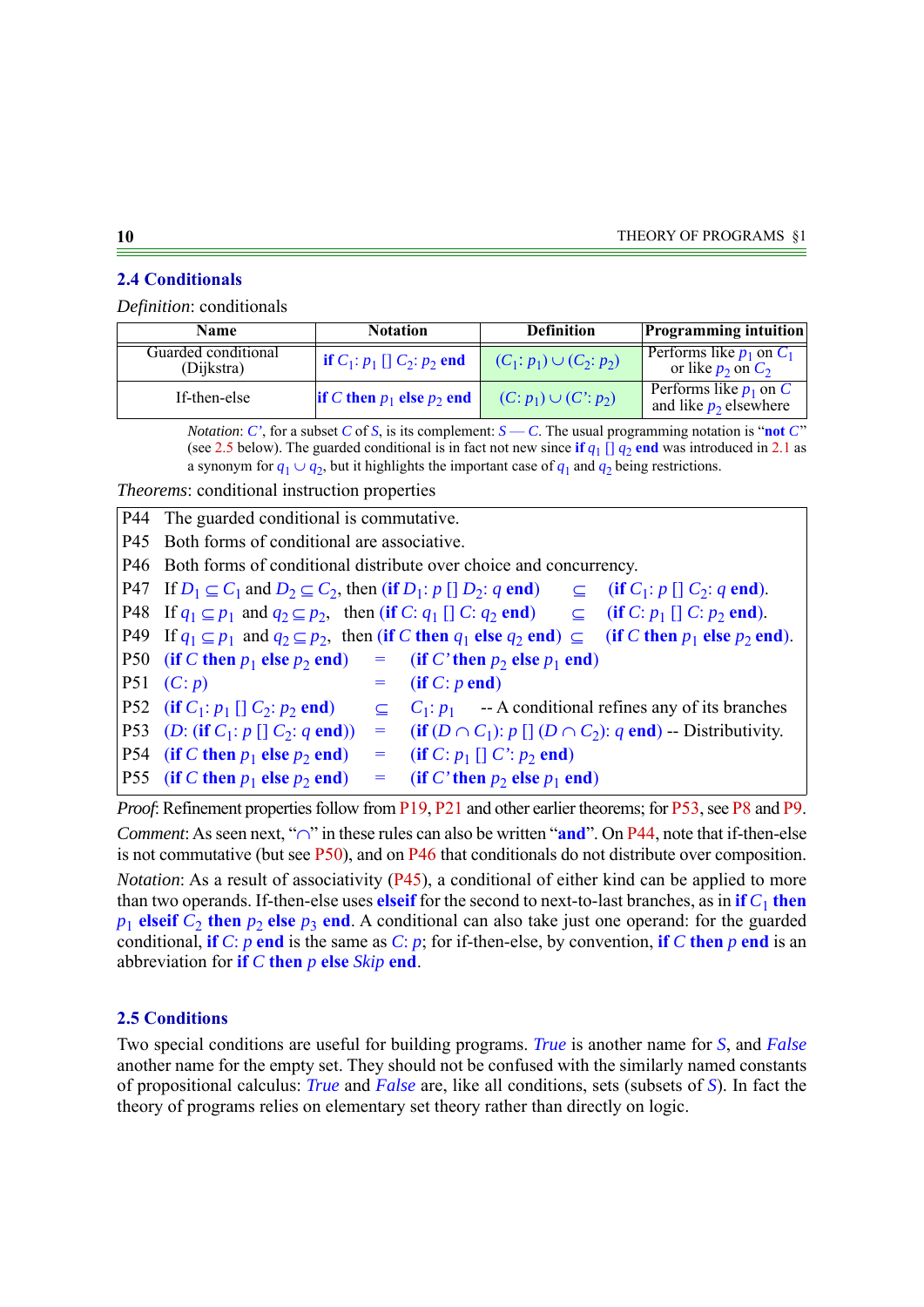# **2.4 Conditionals**

*Definition*: conditionals

| <b>Name</b>                       | <b>Notation</b>                                  | <b>Definition</b>            | <b>Programming intuition</b>                           |
|-----------------------------------|--------------------------------------------------|------------------------------|--------------------------------------------------------|
| Guarded conditional<br>(Dijkstra) | <b>if</b> $C_1$ : $p_1$ $C_2$ : $p_2$ <b>end</b> | $(C_1: p_1) \cup (C_2: p_2)$ | Performs like $p_1$ on $C_1$<br>or like $p_2$ on $C_2$ |
| If-then-else                      | <b>if</b> C then $p_1$ else $p_2$ end            | $(C: p_1) \cup (C': p_2)$    | Performs like $p_1$ on C<br>and like $p_2$ elsewhere   |

*Notation*: *C'*, for a subset *C* of *S*, is its complement:  $S - C$ . The usual programming notation is "not *C*" (see [2.5](#page-9-0) below). The guarded conditional is in fact not new since **if**  $q_1$   $\overline{q_2}$  **end** was introduced in [2.1](#page-3-0) as a synonym for  $q_1 \cup q_2$ , but it highlights the important case of  $q_1$  and  $q_2$  being restrictions.

*Theorems*: conditional instruction properties

<span id="page-9-2"></span>P44 The guarded conditional is commutative.

<span id="page-9-5"></span>P45 Both forms of conditional are associative.

<span id="page-9-4"></span>P46 Both forms of conditional distribute over choice and concurrency.

<span id="page-9-3"></span>

|                                                                          | P47 If $D_1 \subseteq C_1$ and $D_2 \subseteq C_2$ , then (if $D_1: p \mid D_2: q$ end) $\subseteq$ (if $C_1: p \mid C_2: q$ end).         |
|--------------------------------------------------------------------------|--------------------------------------------------------------------------------------------------------------------------------------------|
|                                                                          | P48 If $q_1 \subseteq p_1$ and $q_2 \subseteq p_2$ , then (if C: $q_1$ [] C: $q_2$ end) $\subseteq$ (if C: $p_1$ [] C: $p_2$ end).         |
|                                                                          | $P49$ If $q_1 \subseteq p_1$ and $q_2 \subseteq p_2$ , then (if C then $q_1$ else $q_2$ end) $\subseteq$ (if C then $p_1$ else $p_2$ end). |
| P50 (if C then $p_1$ else $p_2$ end) = (if C' then $p_2$ else $p_1$ end) |                                                                                                                                            |
| P51 $(C:p)$                                                              | $=$ (if C: p end)                                                                                                                          |
| P52 (if $C_1: p_1 \square C_2: p_2$ end)                                 | $C_1$ : $p_1$ -- A conditional refines any of its branches                                                                                 |
| P53 (D: (if $C_1$ : $p \mid C_2$ : q end))                               | = (if $(D \cap C_1)$ : $p$ [] $(D \cap C_2)$ : $q$ end) -- Distributivity.                                                                 |
| P54 (if C then $p_1$ else $p_2$ end)                                     | $=$ (if C: $p_1$ [] C': $p_2$ end)                                                                                                         |
| P55 (if C then $p_1$ else $p_2$ end)                                     | $=$ (if C'then $p_2$ else $p_1$ end)                                                                                                       |

<span id="page-9-6"></span><span id="page-9-1"></span>*Proof*: Refinement properties follow from [P19](#page-5-1), [P21](#page-5-3) and other earlier theorems; for [P53,](#page-9-1) see [P8](#page-4-3) and [P9](#page-4-1). *Comment*: As seen next, "∩" in these rules can also be written "**and**". On [P44](#page-9-2), note that if-then-else is not commutative (but see [P50\)](#page-9-3), and on [P46](#page-9-4) that conditionals do not distribute over composition. *Notation*: As a result of associativity ([P45\)](#page-9-5), a conditional of either kind can be applied to more than two operands. If-then-else uses **elseif** for the second to next-to-last branches, as in **if**  $C_1$  then  $p_1$  **elseif**  $C_2$  **then**  $p_2$  **else**  $p_3$  **end**. A conditional can also take just one operand: for the guarded conditional, **if** C: p **end** is the same as C: p; for if-then-else, by convention, **if** C **then** p **end** is an abbreviation for **if** *C* **then** *p* **else** *Skip* **end**.

# <span id="page-9-0"></span>**2.5 Conditions**

Two special conditions are useful for building programs. *True* is another name for *S*, and *False* another name for the empty set. They should not be confused with the similarly named constants of propositional calculus: *True* and *False* are, like all conditions, sets (subsets of *S*). In fact the theory of programs relies on elementary set theory rather than directly on logic.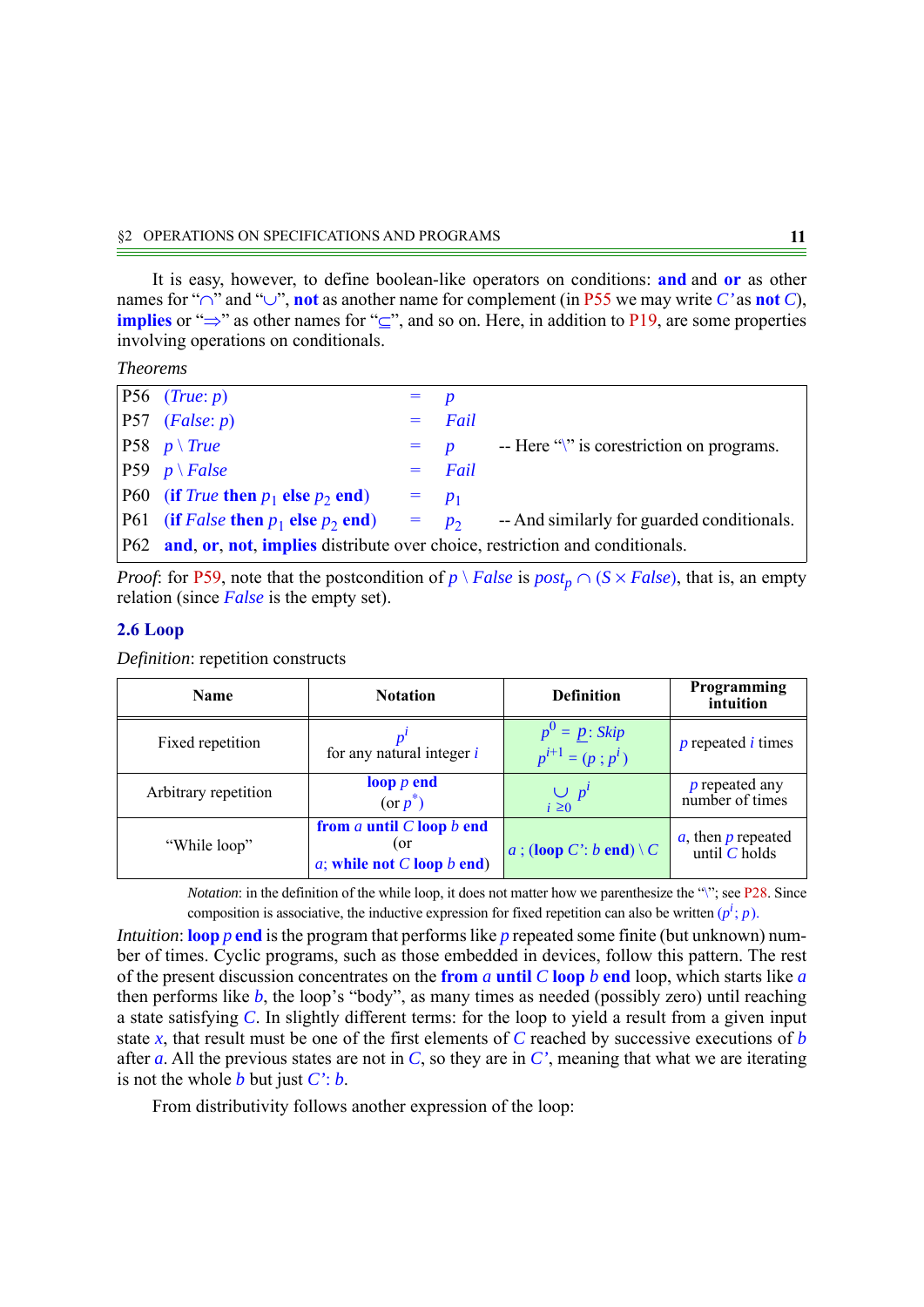It is easy, however, to define boolean-like operators on conditions: **and** and **or** as other names for "∩" and "∪", **not** as another name for complement (in [P55](#page-9-6) we may write *C'* as **not** *C*), **implies** or " $\Rightarrow$ " as other names for " $\subseteq$ ", and so on. Here, in addition to [P19,](#page-5-1) are some properties involving operations on conditionals.

#### *Theorems*

<span id="page-10-0"></span>

| P56 $(True: p)$                                                                 | $=$ $p$   |           |                                            |
|---------------------------------------------------------------------------------|-----------|-----------|--------------------------------------------|
| $PS7$ ( <i>False: p</i> )                                                       |           | $=$ Fail  |                                            |
| $ P58 \ p \setminus True$                                                       |           | $=$ $p$   | -- Here "\" is corestriction on programs.  |
| $ P59 \ p \setminus False $                                                     |           | $=$ Fail  |                                            |
| <b>P60</b> (if True then $p_1$ else $p_2$ end)                                  | $=$ $p_1$ |           |                                            |
| P61 (if <i>False</i> then $p_1$ else $p_2$ end)                                 |           | $=$ $p_2$ | -- And similarly for guarded conditionals. |
| P62 and, or, not, implies distribute over choice, restriction and conditionals. |           |           |                                            |

*Proof*: for [P59,](#page-10-0) note that the postcondition of *p* \ *False* is  $post_p \cap (S \times False)$ , that is, an empty relation (since *False* is the empty set).

### **2.6 Loop**

*Definition*: repetition constructs

| <b>Name</b>          | <b>Notation</b>                                                             | <b>Definition</b>                                               | Programming<br>intuition                              |
|----------------------|-----------------------------------------------------------------------------|-----------------------------------------------------------------|-------------------------------------------------------|
| Fixed repetition     | for any natural integer $i$                                                 | $p^0 = p$ : Skip<br>$p^{i+1} = (p; p^i)$                        | $p$ repeated $i$ times                                |
| Arbitrary repetition | loop $p$ end<br>(or $p^*$ )                                                 | $\bigcup_{i \geq 0} p^{U}$                                      | $p$ repeated any<br>number of times                   |
| "While loop"         | from $a$ until $C$ loop $b$ end<br>(or<br>$a$ ; while not $C$ loop $b$ end) | <i>a</i> ; (loop <i>C</i> ': <i>b</i> end) $\setminus$ <i>C</i> | $a$ , then $p$ repeated<br>until $\overline{C}$ holds |

*Notation*: in the definition of the while loop, it does not matter how we parenthesize the "\"; see [P28.](#page-6-0) Since composition is associative, the inductive expression for fixed repetition can also be written  $(p^i; p)$ .

*Intuition*: **loop** *p* **end** is the program that performs like *p* repeated some finite (but unknown) number of times. Cyclic programs, such as those embedded in devices, follow this pattern. The rest of the present discussion concentrates on the **from** *a* **until** *C* **loop** *b* **end** loop, which starts like *a* then performs like  $b$ , the loop's "body", as many times as needed (possibly zero) until reaching a state satisfying *C*. In slightly different terms: for the loop to yield a result from a given input state *x*, that result must be one of the first elements of *C* reached by successive executions of *b* after *a*. All the previous states are not in *C*, so they are in *C'*, meaning that what we are iterating is not the whole *b* but just *C'*: *b*.

From distributivity follows another expression of the loop: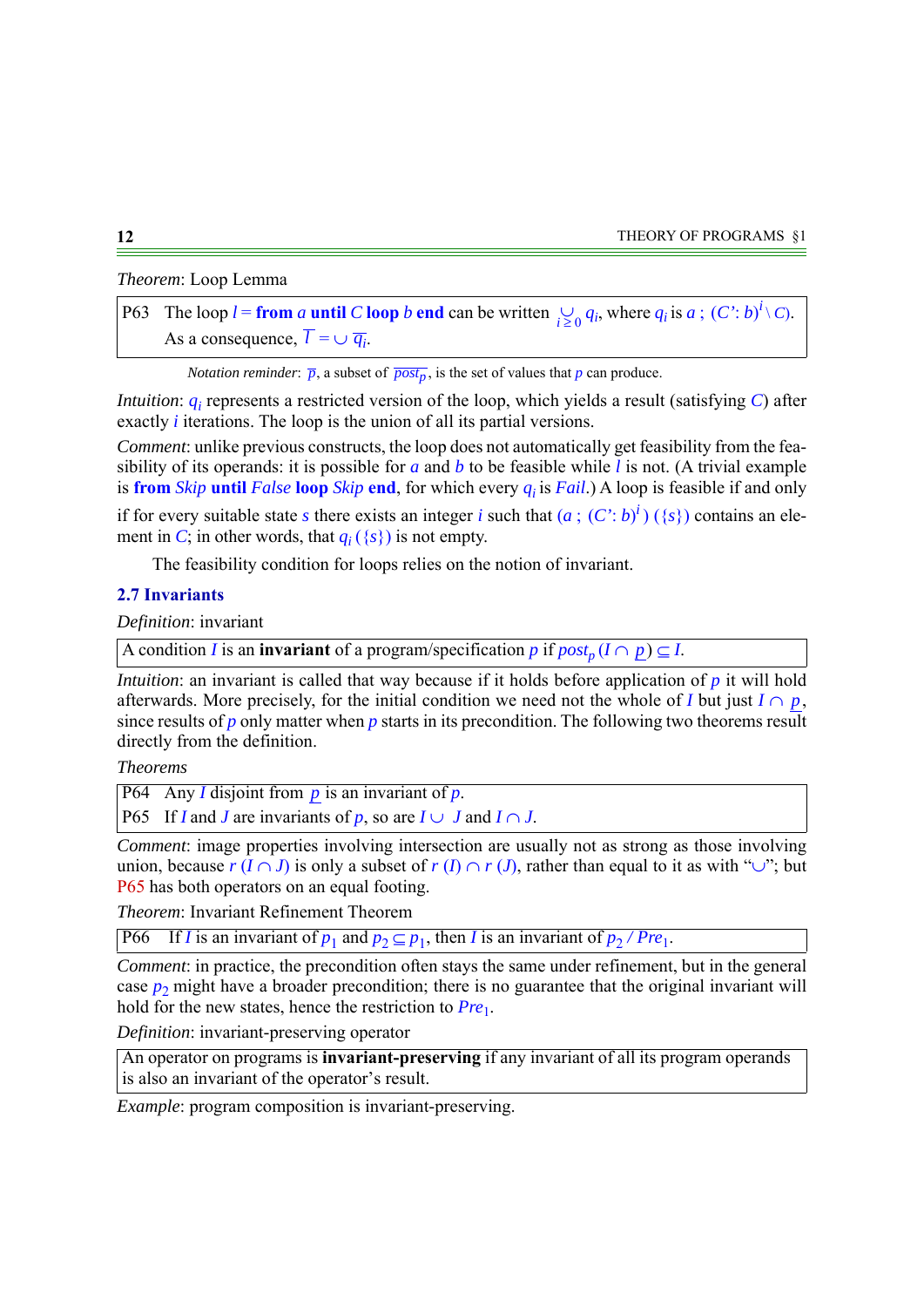*Theorem*: Loop Lemma

<span id="page-11-3"></span>P63 The loop  $l = \textbf{from } a \textbf{ until } C \textbf{ loop } b \textbf{ end } \textbf{ can be written } \bigcup_{i \geq 0} q_i$ , where  $q_i$  is  $a : (C': b)^i \setminus C$ . As a consequence,  $\overline{l} = \cup \overline{q_i}$ .

*Notation reminder*:  $\overline{p}$ , a subset of  $\overline{post_p}$ , is the set of values that *p* can produce.

*Intuition*:  $q_i$  represents a restricted version of the loop, which yields a result (satisfying *C*) after exactly *i* iterations. The loop is the union of all its partial versions.

*Comment*: unlike previous constructs, the loop does not automatically get feasibility from the feasibility of its operands: it is possible for *a* and *b* to be feasible while *l* is not. (A trivial example is **from** *Skip* until *False* **loop** *Skip* **end**, for which every  $q_i$  is *Fail*.) A loop is feasible if and only

if for every suitable state *s* there exists an integer *i* such that  $(a; (C', b)^i) (\{s\})$  contains an element in *C*; in other words, that  $q_i({s})$  is not empty.

The feasibility condition for loops relies on the notion of invariant.

### <span id="page-11-0"></span>**2.7 Invariants**

*Definition*: invariant

A condition *I* is an **invariant** of a program/specification *p* if  $post_p (I \cap p) \subseteq I$ .

*Intuition*: an invariant is called that way because if it holds before application of *p* it will hold afterwards. More precisely, for the initial condition we need not the whole of *I* but just  $I \cap p$ , since results of  $p$  only matter when  $p$  starts in its precondition. The following two theorems result directly from the definition.

*Theorems*

<span id="page-11-1"></span>P64 Any *I* disjoint from  $p$  is an invariant of  $p$ . P65 If *I* and *J* are invariants of *p*, so are  $I \cup J$  and  $I \cap J$ .

*Comment*: image properties involving intersection are usually not as strong as those involving union, because  $r(I \cap J)$  is only a subset of  $r(I) \cap r(J)$ , rather than equal to it as with "∪"; but [P65](#page-11-1) has both operators on an equal footing.

*Theorem*: Invariant Refinement Theorem

<span id="page-11-2"></span>P66 If *I* is an invariant of  $p_1$  and  $p_2 \subseteq p_1$ , then *I* is an invariant of  $p_2$  / Pre<sub>1</sub>.

*Comment*: in practice, the precondition often stays the same under refinement, but in the general case  $p_2$  might have a broader precondition; there is no guarantee that the original invariant will hold for the new states, hence the restriction to *Pre*1.

*Definition*: invariant-preserving operator

An operator on programs is **invariant-preserving** if any invariant of all its program operands is also an invariant of the operator's result.

*Example*: program composition is invariant-preserving.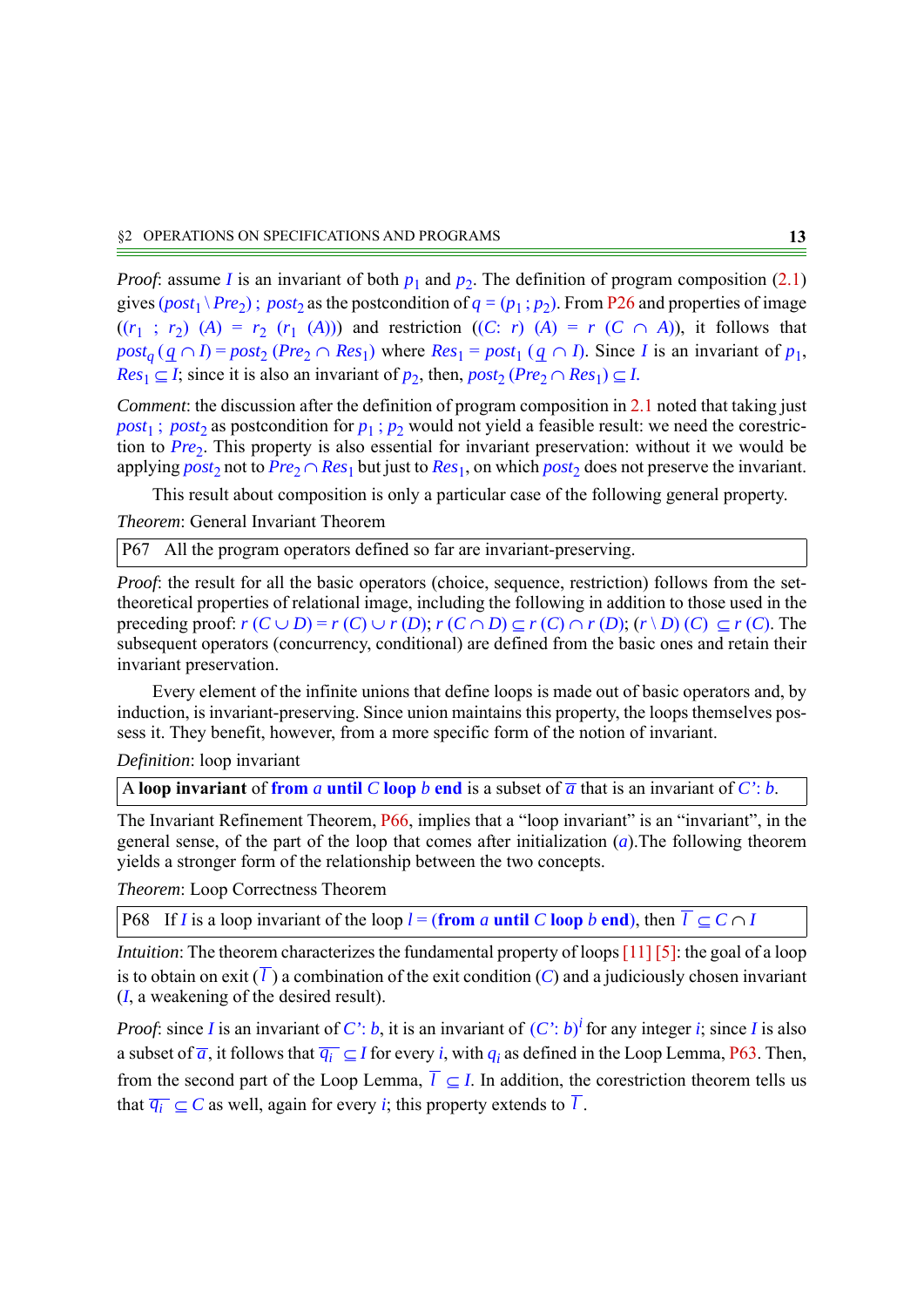*Proof*: assume *I* is an invariant of both  $p_1$  and  $p_2$ . The definition of program composition ([2.1](#page-3-0)) gives  $(post_1 \backslash Pre_2)$ ; *post*<sub>2</sub> as the postcondition of  $q = (p_1 ; p_2)$ . From [P26](#page-6-1) and properties of image  $((r_1 ; r_2) (A) = r_2 (r_1 (A)))$  and restriction  $((C: r) (A) = r (C \cap A))$ , it follows that  $post_q(q \cap I) = post_2 (Pre_2 \cap Res_1)$  where  $Res_1 = post_1 (q \cap I)$ . Since *I* is an invariant of  $p_1$ ,  $Res_1 \subseteq I$ ; since it is also an invariant of  $p_2$ , then,  $post_2 (Pre_2 \cap Res_1) \subseteq I$ .

*Comment*: the discussion after the definition of program composition in [2.1](#page-3-0) noted that taking just *post*<sub>1</sub>; *post*<sub>2</sub> as postcondition for  $p_1$ ;  $p_2$  would not yield a feasible result: we need the corestriction to *Pre*<sub>2</sub>. This property is also essential for invariant preservation: without it we would be applying  $\overline{post_2}$  not to  $\overline{Pre_2 \cap Res_1}$  but just to  $\overline{Res_1}$ , on which  $\overline{post_2}$  does not preserve the invariant.

This result about composition is only a particular case of the following general property.

*Theorem*: General Invariant Theorem

P67 All the program operators defined so far are invariant-preserving.

*Proof*: the result for all the basic operators (choice, sequence, restriction) follows from the settheoretical properties of relational image, including the following in addition to those used in the preceding proof:  $r(C \cup D) = r(C) \cup r(D)$ ;  $r(C \cap D) \subseteq r(C) \cap r(D)$ ;  $(r \setminus D)$   $(C) \subseteq r(C)$ . The subsequent operators (concurrency, conditional) are defined from the basic ones and retain their invariant preservation.

Every element of the infinite unions that define loops is made out of basic operators and, by induction, is invariant-preserving. Since union maintains this property, the loops themselves possess it. They benefit, however, from a more specific form of the notion of invariant.

*Definition*: loop invariant

A loop invariant of from *a* until *C* loop *b* end is a subset of  $\overline{a}$  that is an invariant of *C*': *b*.

The Invariant Refinement Theorem, [P66](#page-11-2), implies that a "loop invariant" is an "invariant", in the general sense, of the part of the loop that comes after initialization (*a*).The following theorem yields a stronger form of the relationship between the two concepts.

*Theorem*: Loop Correctness Theorem

<span id="page-12-0"></span>P68 If *I* is a loop invariant of the loop  $l =$  (from *a* **until** *C* loop *b* end), then  $\overline{l} \subseteq C \cap l$ 

*Intuition*: The theorem characterizes the fundamental property of loops [\[11\]](#page-27-1) [\[5\]:](#page-26-1) the goal of a loop is to obtain on exit  $(\overline{l})$  a combination of the exit condition  $(C)$  and a judiciously chosen invariant (*I*, a weakening of the desired result).

*Proof*: since *I* is an invariant of *C*': *b*, it is an invariant of  $(C^{\prime}: b)^{i}$  for any integer *i*; since *I* is also a subset of  $\overline{a}$ , it follows that  $\overline{q_i} \subseteq I$  for every *i*, with  $q_i$  as defined in the Loop Lemma, [P63](#page-11-3). Then, from the second part of the Loop Lemma,  $\overline{l} \subseteq I$ . In addition, the corestriction theorem tells us that  $\overline{q_i} \subseteq C$  as well, again for every *i*; this property extends to  $\overline{l}$ .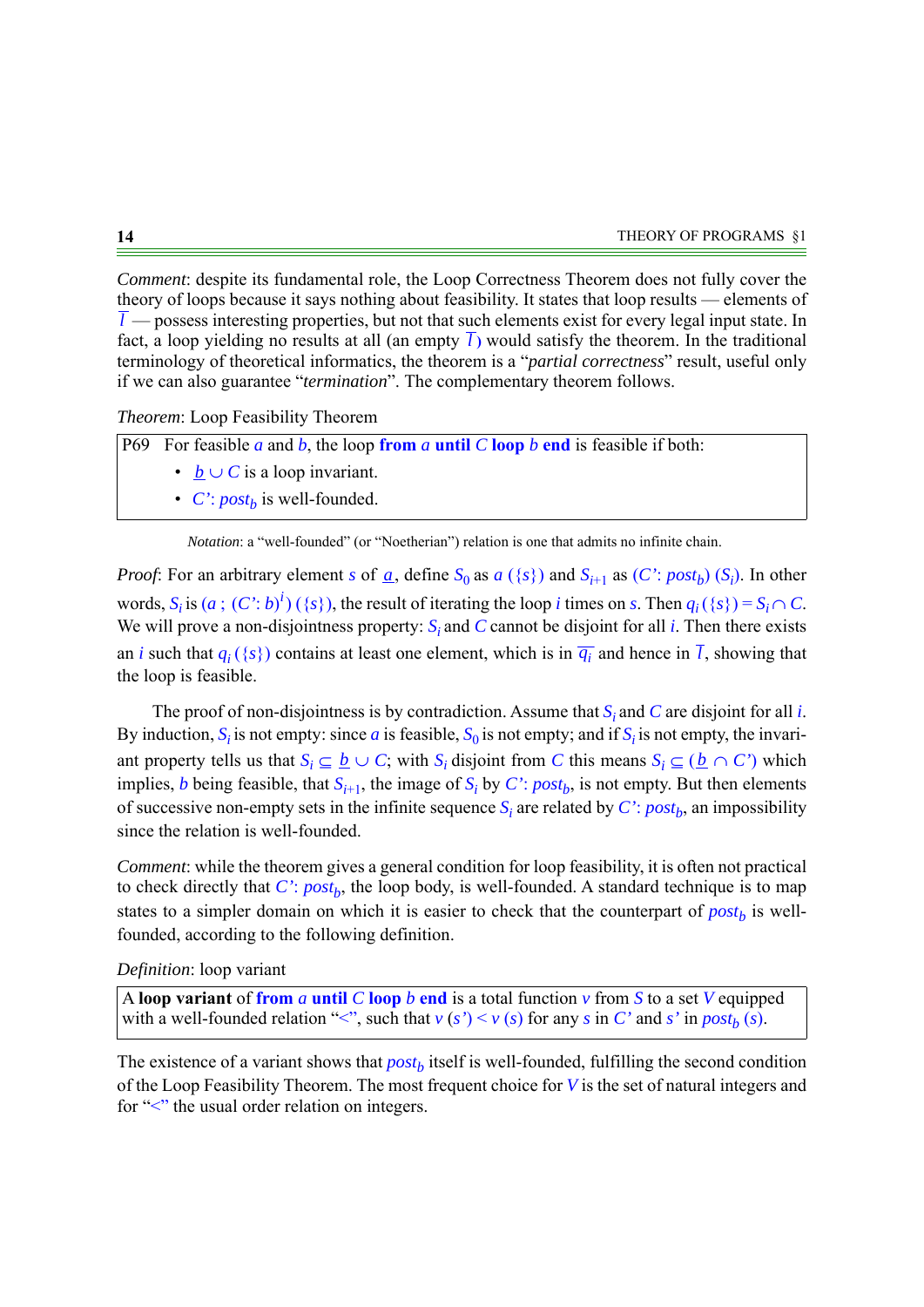*Comment*: despite its fundamental role, the Loop Correctness Theorem does not fully cover the theory of loops because it says nothing about feasibility. It states that loop results — elements of  $\overline{l}$  — possess interesting properties, but not that such elements exist for every legal input state. In fact, a loop yielding no results at all (an empty  $\overline{I}$ ) would satisfy the theorem. In the traditional terminology of theoretical informatics, the theorem is a "*partial correctness*" result, useful only if we can also guarantee "*termination*". The complementary theorem follows.

### *Theorem*: Loop Feasibility Theorem

<span id="page-13-0"></span>

|  | P69 For feasible <i>a</i> and <i>b</i> , the loop from <i>a</i> until <i>C</i> loop <i>b</i> end is feasible if both: |  |  |  |  |  |
|--|-----------------------------------------------------------------------------------------------------------------------|--|--|--|--|--|
|--|-----------------------------------------------------------------------------------------------------------------------|--|--|--|--|--|

- *<u>b</u>*∪ *C* is a loop invariant.
- $C'$ : *post<sub>b</sub>* is well-founded.

*Notation*: a "well-founded" (or "Noetherian") relation is one that admits no infinite chain.

*Proof*: For an arbitrary element *s* of <u>a</u>, define  $S_0$  as a ({*s*}) and  $S_{i+1}$  as (*C*': *post<sub>b</sub>*) ( $S_i$ ). In other words,  $S_i$  is  $(a; (C': b)^i) (\{s\})$ , the result of iterating the loop *i* times on *s*. Then  $q_i(\{s\}) = S_i \cap C$ . We will prove a non-disjointness property:  $S_i$  and  $C$  cannot be disjoint for all  $i$ . Then there exists an *i* such that  $q_i$  ({*s*}) contains at least one element, which is in  $\overline{q_i}$  and hence in  $\overline{l}$ , showing that the loop is feasible.

The proof of non-disjointness is by contradiction. Assume that *Si* and *C* are disjoint for all *i*. By induction,  $S_i$  is not empty: since *a* is feasible,  $S_0$  is not empty; and if  $S_i$  is not empty, the invariant property tells us that  $S_i \subseteq \underline{b} \cup C$ ; with  $S_i$  disjoint from *C* this means  $S_i \subseteq (\underline{b} \cap C')$  which implies, *b* being feasible, that  $S_{i+1}$ , the image of  $S_i$  by *C'*: *post<sub>b</sub>*, is not empty. But then elements of successive non-empty sets in the infinite sequence  $S_i$  are related by  $C'$ :  $post_b$ , an impossibility since the relation is well-founded.

*Comment*: while the theorem gives a general condition for loop feasibility, it is often not practical to check directly that  $C$ : *post<sub>b</sub>*, the loop body, is well-founded. A standard technique is to map states to a simpler domain on which it is easier to check that the counterpart of  $post<sub>b</sub>$  is wellfounded, according to the following definition.

#### *Definition*: loop variant

A **loop variant** of **from** *a* **until** *C* **loop** *b* **end** is a total function *v* from *S* to a set *V* equipped with a well-founded relation "<", such that  $v(s') < v(s)$  for any *s* in *C*' and *s*' in *post<sub>b</sub>* (*s*).

The existence of a variant shows that  $post_b$  itself is well-founded, fulfilling the second condition of the Loop Feasibility Theorem. The most frequent choice for *V* is the set of natural integers and for " $\leq$ " the usual order relation on integers.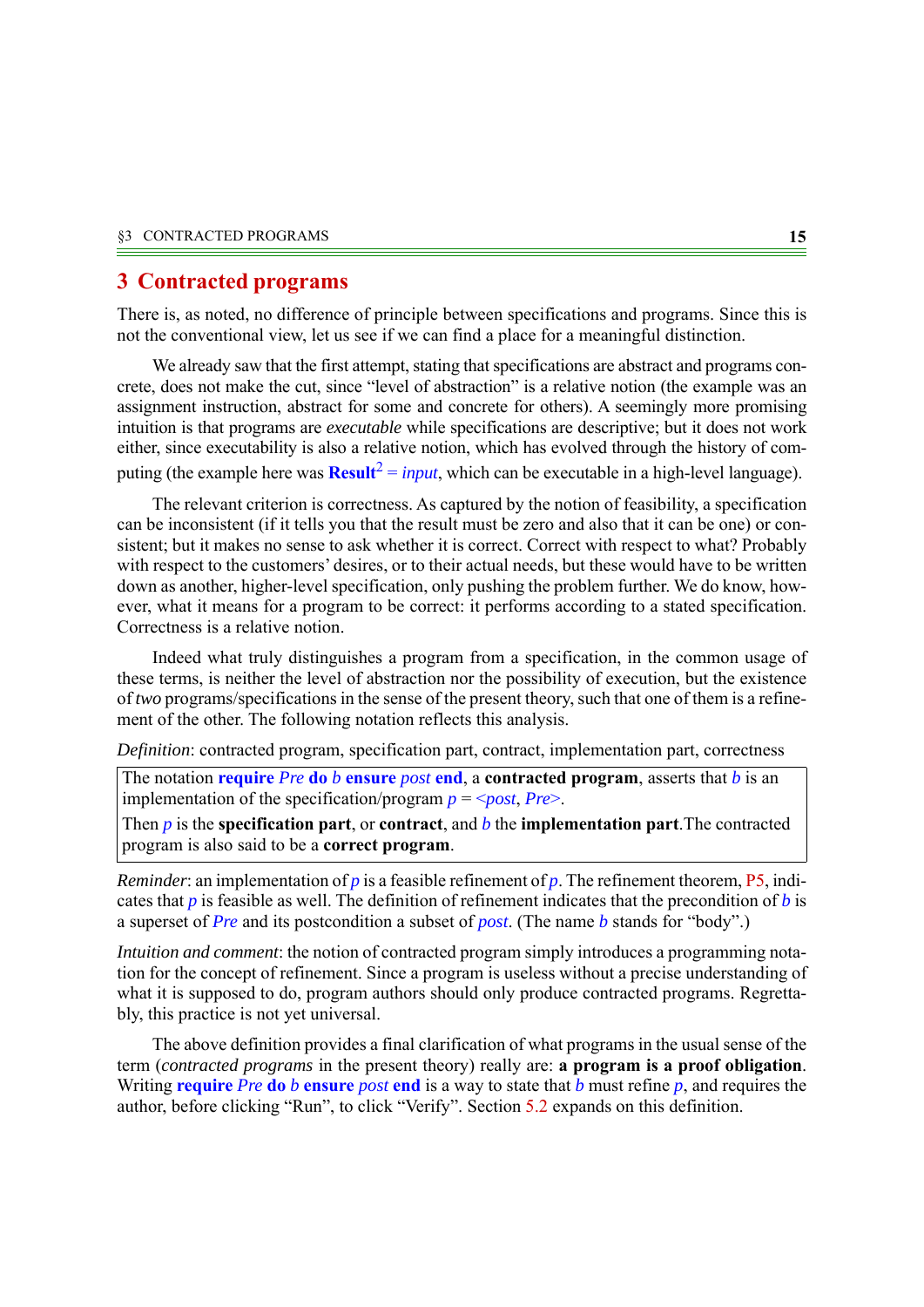# <span id="page-14-0"></span>**3 Contracted programs**

There is, as noted, no difference of principle between specifications and programs. Since this is not the conventional view, let us see if we can find a place for a meaningful distinction.

We already saw that the first attempt, stating that specifications are abstract and programs concrete, does not make the cut, since "level of abstraction" is a relative notion (the example was an assignment instruction, abstract for some and concrete for others). A seemingly more promising intuition is that programs are *executable* while specifications are descriptive; but it does not work either, since executability is also a relative notion, which has evolved through the history of computing (the example here was  $Result^2 = input$ , which can be executable in a high-level language).

The relevant criterion is correctness. As captured by the notion of feasibility, a specification can be inconsistent (if it tells you that the result must be zero and also that it can be one) or consistent; but it makes no sense to ask whether it is correct. Correct with respect to what? Probably with respect to the customers' desires, or to their actual needs, but these would have to be written down as another, higher-level specification, only pushing the problem further. We do know, however, what it means for a program to be correct: it performs according to a stated specification. Correctness is a relative notion.

Indeed what truly distinguishes a program from a specification, in the common usage of these terms, is neither the level of abstraction nor the possibility of execution, but the existence of *two* programs/specifications in the sense of the present theory, such that one of them is a refinement of the other. The following notation reflects this analysis.

*Definition*: contracted program, specification part, contract, implementation part, correctness

The notation **require** *Pre* **do** *b* **ensure** *post* **end**, a **contracted program**, asserts that *b* is an implementation of the specification/program  $p = \langle post, Pre \rangle$ .

Then *p* is the **specification part**, or **contract**, and *b* the **implementation part**.The contracted program is also said to be a **correct program**.

*Reminder*: an implementation of  $p$  is a feasible refinement of  $p$ . The refinement theorem,  $\overline{PS}$ , indicates that *p* is feasible as well. The definition of refinement indicates that the precondition of *b* is a superset of *Pre* and its postcondition a subset of *post*. (The name *b* stands for "body".)

*Intuition and comment*: the notion of contracted program simply introduces a programming notation for the concept of refinement. Since a program is useless without a precise understanding of what it is supposed to do, program authors should only produce contracted programs. Regrettably, this practice is not yet universal.

The above definition provides a final clarification of what programs in the usual sense of the term (*contracted programs* in the present theory) really are: **a program is a proof obligation**. Writing **require** *Pre* **do** *b* **ensure** *post* **end** is a way to state that *b* must refine *p*, and requires the author, before clicking "Run", to click "Verify". Section [5.2](#page-21-0) expands on this definition.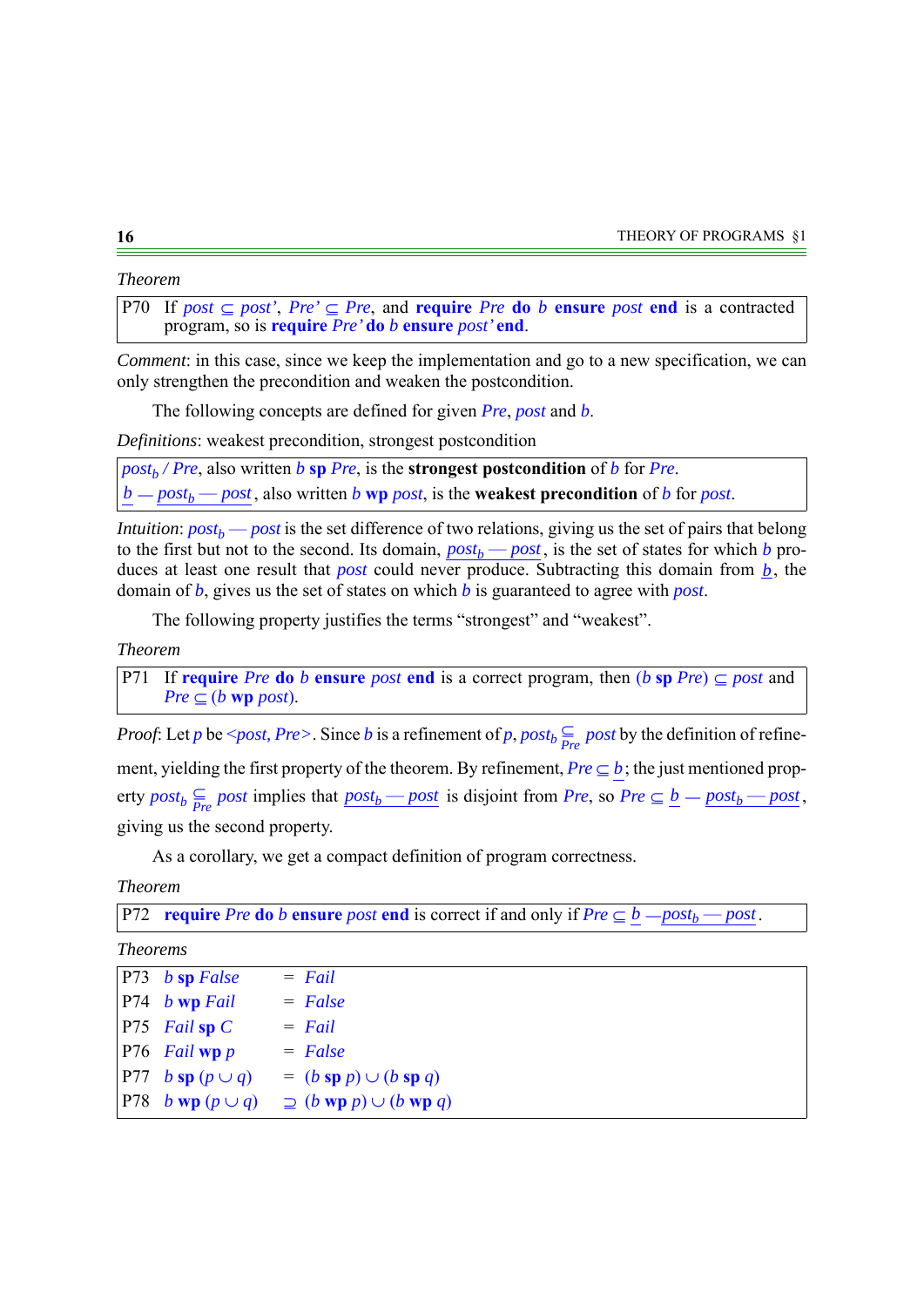*Theorem*

P70 If  $post \subseteq post'$ ,  $Pre' ⊂ Pre$ , and **require**  $Pre$  **do** *b* **ensure**  $post$  **end** is a contracted program, so is **require** *Pre'* **do** *b* **ensure** *post'* **end**.

*Comment*: in this case, since we keep the implementation and go to a new specification, we can only strengthen the precondition and weaken the postcondition.

The following concepts are defined for given *Pre*, *post* and *b*.

*Definitions*: weakest precondition, strongest postcondition

 $post_b$  / *Pre*, also written *b* **sp** *Pre*, is the **strongest postcondition** of *b* for *Pre*.  $\frac{b}{b}$  — *post*<sub>b</sub> — *post*, also written *b* **wp** *post*, is the **weakest precondition** of *b* for *post*.

*Intuition:*  $post_b$  — *post* is the set difference of two relations, giving us the set of pairs that belong to the first but not to the second. Its domain,  $post_b - post$ , is the set of states for which *b* produces at least one result that *post* could never produce. Subtracting this domain from  $b$ , the domain of *b*, gives us the set of states on which *b* is guaranteed to agree with *post*.

The following property justifies the terms "strongest" and "weakest".

*Theorem*

P71 If **require** Pre **do** *b* **ensure** post **end** is a correct program, then  $(b \text{ sp } Pre) \subseteq post$  and  $Pre \subseteq (b \text{ wp } post).$ 

*Proof*: Let *p* be <*post, Pre*>. Since *b* is a refinement of *p*, *post*<sub>*b*</sub>  $\frac{C}{p_{ro}}$  *post* by the definition of refine-*Pre*

ment, yielding the first property of the theorem. By refinement,  $Pre \subseteq b$ ; the just mentioned property  $post_b \subseteq_{Pre} post$  implies that  $post_b - post$  is disjoint from *Pre*, so  $Pre \subseteq_{pre} b - post_b - post$ , giving us the second property.

As a corollary, we get a compact definition of program correctness.

*Theorem*

```
P72 require Pre do b ensure post end is correct if and only if Pre \subseteq \underline{b} - post_b \rightarrow post.
```
*Theorems*

<span id="page-15-0"></span>

| $ P73 \t\t b$ sp False                                        | $=$ Fail                                                             |
|---------------------------------------------------------------|----------------------------------------------------------------------|
| $ P74 \t\t b$ wp Fail                                         | $= False$                                                            |
| $ P75 \text{ Fail sp } C $                                    | $=$ Fail                                                             |
| $ P76 \text{ Fall wp } p $                                    | $= False$                                                            |
| $ P77 \t\t b \text{sp} (p \cup q) $                           | $= (b \operatorname{sp} p) \cup (b \operatorname{sp} q)$             |
| $\begin{bmatrix} P78 & b \ \text{wp}(p \cup q) \end{bmatrix}$ | $\supseteq$ ( <i>b</i> wp <i>p</i> ) $\cup$ ( <i>b</i> wp <i>q</i> ) |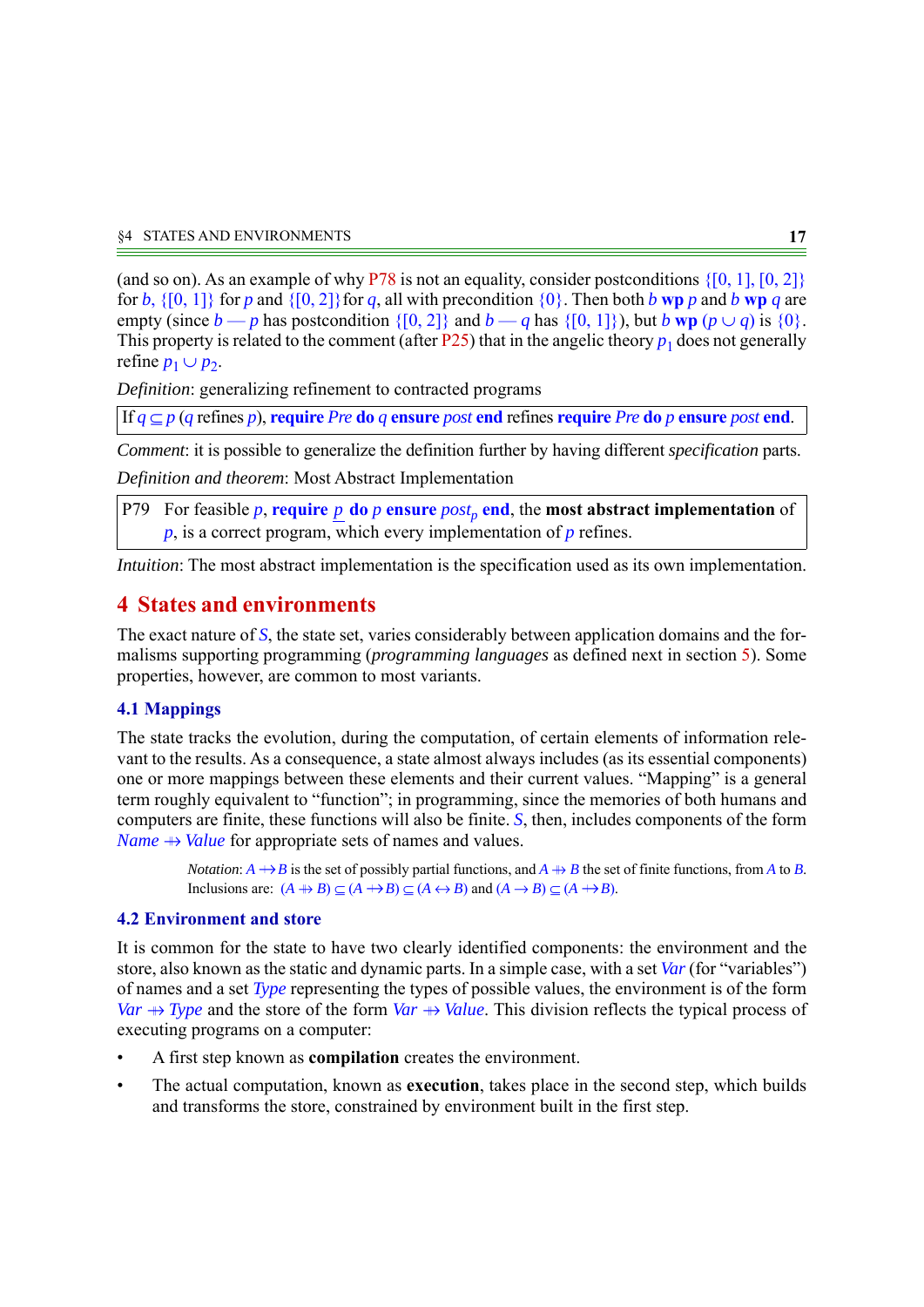(and so on). As an example of why [P78](#page-15-0) is not an equality, consider postconditions  $\{[0, 1], [0, 2]\}$ for *b*,  $\{[0, 1]\}$  for *p* and  $\{[0, 2]\}$  for *q*, all with precondition  $\{0\}$ . Then both *b* **wp** *p* and *b* **wp** *q* are empty (since *b* — *p* has postcondition {[0, 2]} and *b* — *q* has {[0, 1]}), but *b* **wp** (*p* ∪ *q*) is {0}. This property is related to the comment (after  $P25$ ) that in the angelic theory  $p_1$  does not generally refine  $p_1 \cup p_2$ .

*Definition*: generalizing refinement to contracted programs

If  $q \subseteq p$  (q refines p), **require** Pre **do** q **ensure** post **end** refines **require** Pre **do** p **ensure** post **end**.

*Comment*: it is possible to generalize the definition further by having different *specification* parts.

*Definition and theorem*: Most Abstract Implementation

<span id="page-16-1"></span>P79 For feasible p, require  $\overline{p}$  do  $\overline{p}$  ensure  $post_p$  end, the most abstract implementation of *p*, is a correct program, which every implementation of *p* refines.

*Intuition*: The most abstract implementation is the specification used as its own implementation.

# **4 States and environments**

The exact nature of *S*, the state set, varies considerably between application domains and the formalisms supporting programming (*programming languages* as defined next in section [5\)](#page-19-0). Some properties, however, are common to most variants.

# **4.1 Mappings**

The state tracks the evolution, during the computation, of certain elements of information relevant to the results. As a consequence, a state almost always includes (as its essential components) one or more mappings between these elements and their current values. "Mapping" is a general term roughly equivalent to "function"; in programming, since the memories of both humans and computers are finite, these functions will also be finite. *S*, then, includes components of the form *Name*  $\rightarrow$  *Value* for appropriate sets of names and values.

*Notation*:  $A \rightarrow B$  is the set of possibly partial functions, and  $A \not\rightarrow B$  the set of finite functions, from *A* to *B*. Inclusions are:  $(A \nrightarrow B) \subseteq (A \nrightarrow B) \subseteq (A \nrightarrow B)$  and  $(A \rightarrow B) \subseteq (A \nrightarrow B)$ .

# <span id="page-16-0"></span>**4.2 Environment and store**

It is common for the state to have two clearly identified components: the environment and the store, also known as the static and dynamic parts. In a simple case, with a set *Var* (for "variables") of names and a set *Type* representing the types of possible values, the environment is of the form *Var*  $\rightarrow$  *Type* and the store of the form *Var*  $\rightarrow$  *Value*. This division reflects the typical process of executing programs on a computer:

- A first step known as **compilation** creates the environment.
- The actual computation, known as **execution**, takes place in the second step, which builds and transforms the store, constrained by environment built in the first step.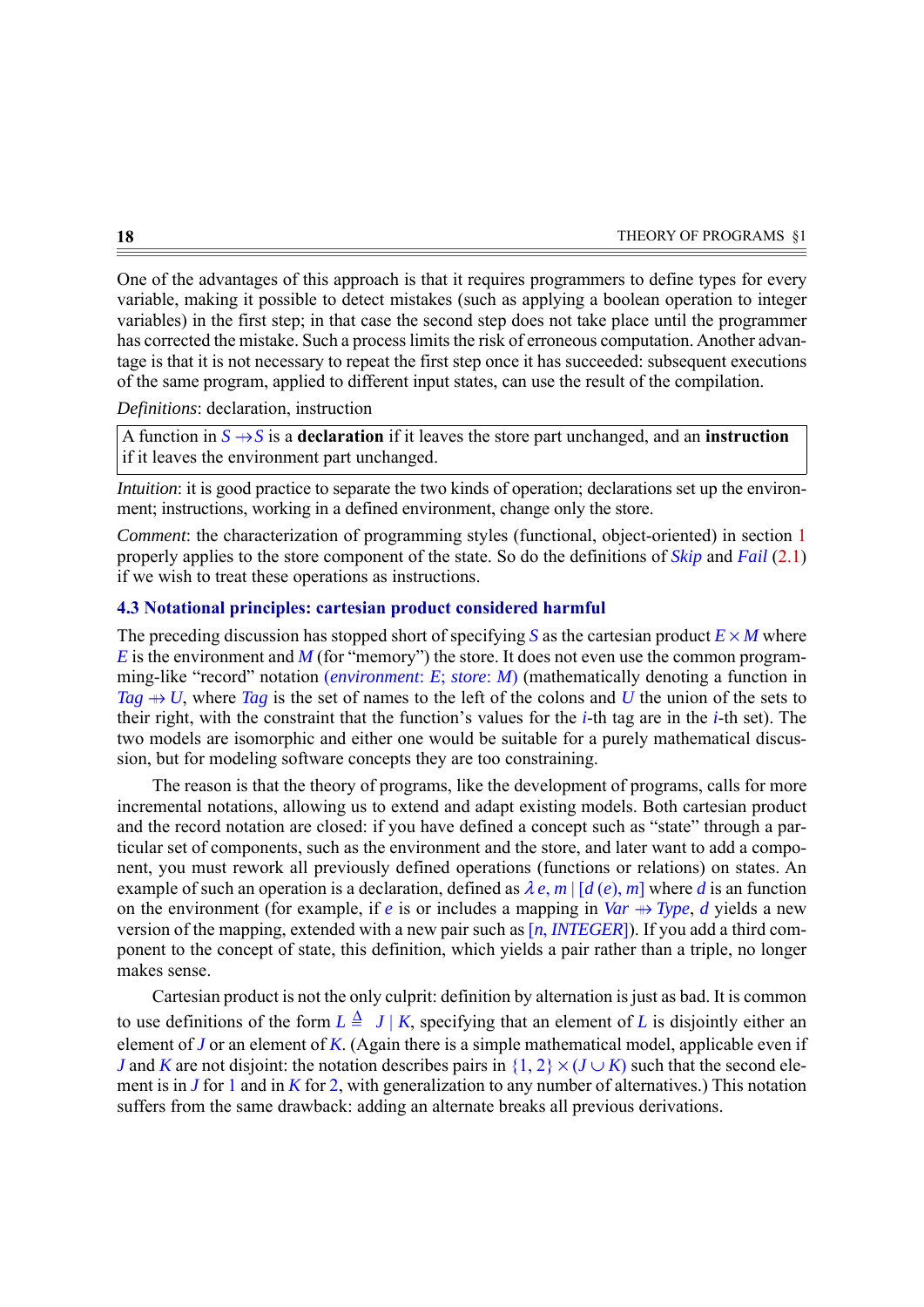One of the advantages of this approach is that it requires programmers to define types for every variable, making it possible to detect mistakes (such as applying a boolean operation to integer variables) in the first step; in that case the second step does not take place until the programmer has corrected the mistake. Such a process limits the risk of erroneous computation. Another advantage is that it is not necessary to repeat the first step once it has succeeded: subsequent executions of the same program, applied to different input states, can use the result of the compilation.

#### *Definitions*: declaration, instruction

A function in  $S \rightarrow S$  is a **declaration** if it leaves the store part unchanged, and an **instruction** if it leaves the environment part unchanged.

*Intuition*: it is good practice to separate the two kinds of operation; declarations set up the environment; instructions, working in a defined environment, change only the store.

*Comment*: the characterization of programming styles (functional, object-oriented) in section [1](#page-0-0) properly applies to the store component of the state. So do the definitions of *Skip* and *Fail* ([2.1](#page-3-0)) if we wish to treat these operations as instructions.

#### **4.3 Notational principles: cartesian product considered harmful**

The preceding discussion has stopped short of specifying *S* as the cartesian product  $E \times M$  where  $\overline{E}$  is the environment and  $\overline{M}$  (for "memory") the store. It does not even use the common programming-like "record" notation (*environment*: *E*; *store*: *M*) (mathematically denoting a function in *Tag*  $\rightarrow$  *U*, where *Tag* is the set of names to the left of the colons and *U* the union of the sets to their right, with the constraint that the function's values for the *i*-th tag are in the *i*-th set). The two models are isomorphic and either one would be suitable for a purely mathematical discussion, but for modeling software concepts they are too constraining.

The reason is that the theory of programs, like the development of programs, calls for more incremental notations, allowing us to extend and adapt existing models. Both cartesian product and the record notation are closed: if you have defined a concept such as "state" through a particular set of components, such as the environment and the store, and later want to add a component, you must rework all previously defined operations (functions or relations) on states. An example of such an operation is a declaration, defined as  $\lambda e$ ,  $m | [d (e), m]$  where *d* is an function on the environment (for example, if *e* is or includes a mapping in  $Var \nrightarrow Type$ , *d* yields a new version of the mapping, extended with a new pair such as [*n*, *INTEGER*]). If you add a third component to the concept of state, this definition, which yields a pair rather than a triple, no longer makes sense.

Cartesian product is not the only culprit: definition by alternation is just as bad. It is common to use definitions of the form  $L \triangleq J | K$ , specifying that an element of L is disjointly either an element of *J* or an element of *K*. (Again there is a simple mathematical model, applicable even if *J* and *K* are not disjoint: the notation describes pairs in  $\{1, 2\} \times (J \cup K)$  such that the second element is in *J* for 1 and in *K* for 2, with generalization to any number of alternatives.) This notation suffers from the same drawback: adding an alternate breaks all previous derivations.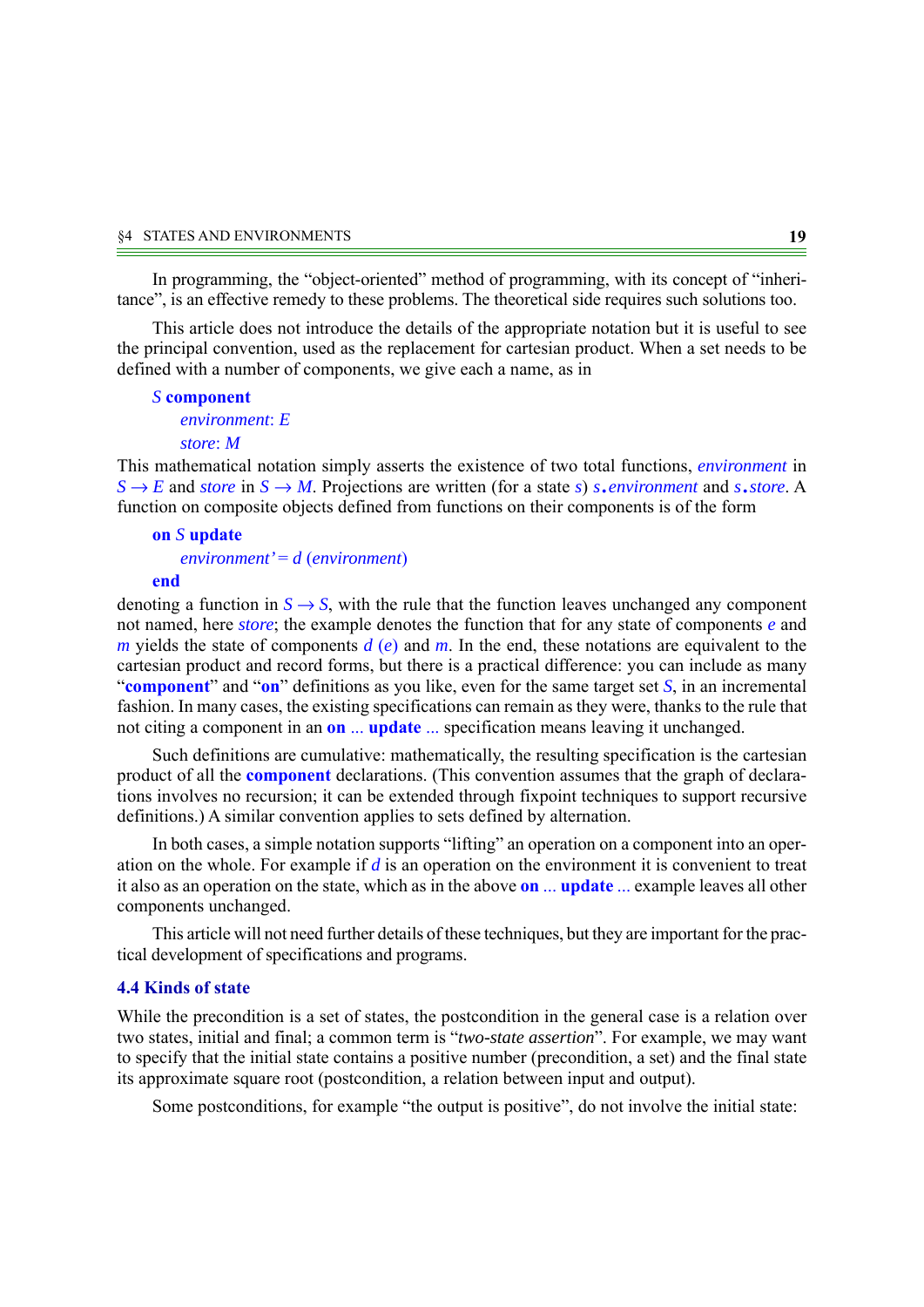In programming, the "object-oriented" method of programming, with its concept of "inheritance", is an effective remedy to these problems. The theoretical side requires such solutions too.

This article does not introduce the details of the appropriate notation but it is useful to see the principal convention, used as the replacement for cartesian product. When a set needs to be defined with a number of components, we give each a name, as in

#### *S* **component**

*environment*: *E*

#### *store*: *M*

This mathematical notation simply asserts the existence of two total functions, *environment* in  $S \rightarrow E$  and *store* in  $S \rightarrow M$ . Projections are written (for a state *s*) *s*. *environment* and *s*. *store*. A function on composite objects defined from functions on their components is of the form

#### **on** *S* **update**

*environment'* = *d* (*environment*)

#### **end**

denoting a function in  $S \rightarrow S$ , with the rule that the function leaves unchanged any component not named, here *store*; the example denotes the function that for any state of components *e* and *m* yields the state of components  $d(e)$  and  $m$ . In the end, these notations are equivalent to the cartesian product and record forms, but there is a practical difference: you can include as many "**component**" and "**on**" definitions as you like, even for the same target set *S*, in an incremental fashion. In many cases, the existing specifications can remain as they were, thanks to the rule that not citing a component in an **on** ... **update** ... specification means leaving it unchanged.

Such definitions are cumulative: mathematically, the resulting specification is the cartesian product of all the **component** declarations. (This convention assumes that the graph of declarations involves no recursion; it can be extended through fixpoint techniques to support recursive definitions.) A similar convention applies to sets defined by alternation.

In both cases, a simple notation supports "lifting" an operation on a component into an operation on the whole. For example if *d* is an operation on the environment it is convenient to treat it also as an operation on the state, which as in the above **on** ... **update** ... example leaves all other components unchanged.

This article will not need further details of these techniques, but they are important for the practical development of specifications and programs.

#### **4.4 Kinds of state**

While the precondition is a set of states, the postcondition in the general case is a relation over two states, initial and final; a common term is "*two-state assertion*". For example, we may want to specify that the initial state contains a positive number (precondition, a set) and the final state its approximate square root (postcondition, a relation between input and output).

Some postconditions, for example "the output is positive", do not involve the initial state: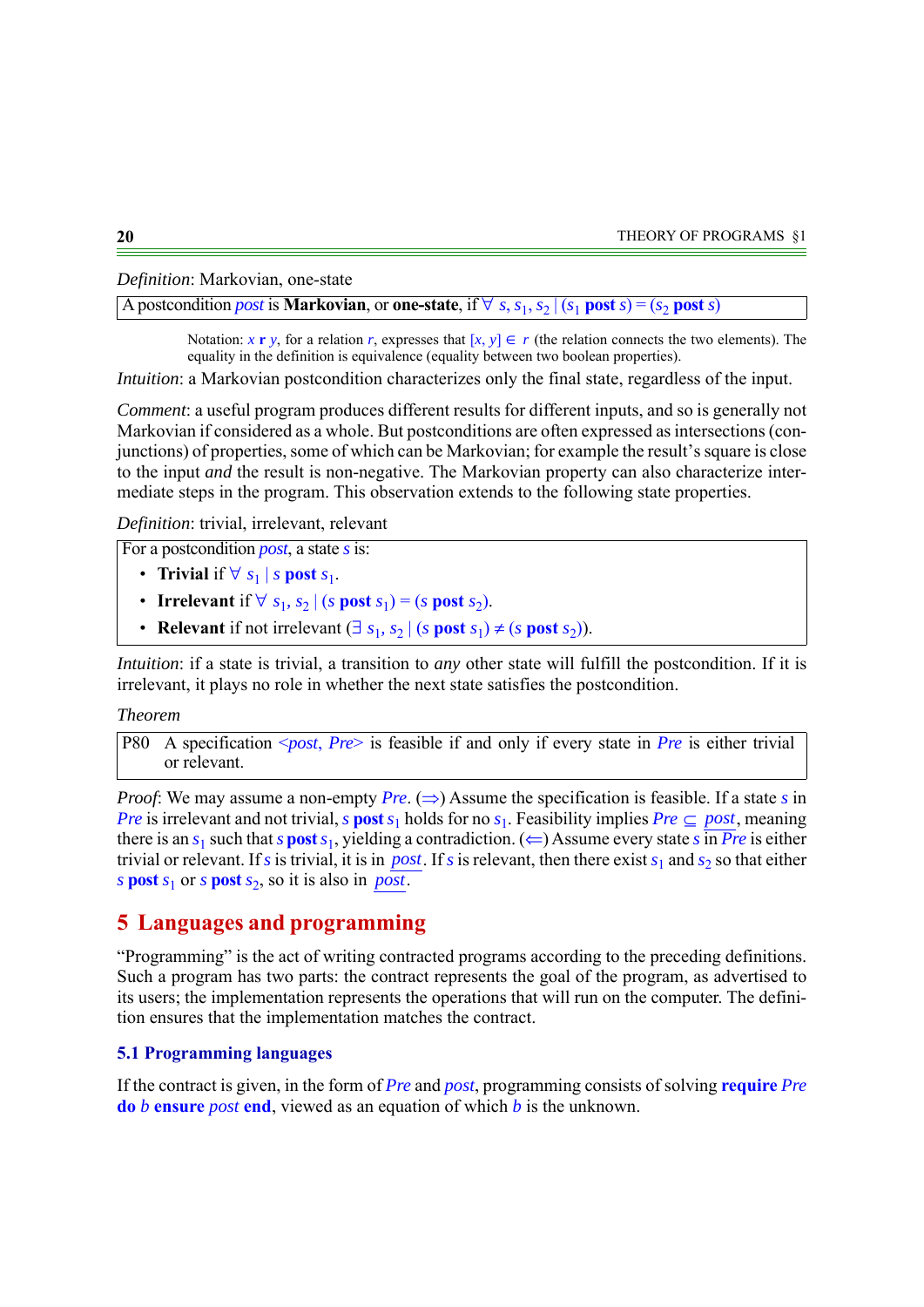*Definition*: Markovian, one-state

A postcondition *post* is **Markovian**, or **one-state**, if ∀ *s*,  $s_1$ ,  $s_2$  | ( $s_1$  **post** *s*) = ( $s_2$  **post** *s*)

Notation: *x* **r** *y*, for a relation *r*, expresses that  $[x, y] \in r$  (the relation connects the two elements). The equality in the definition is equivalence (equality between two boolean properties).

*Intuition*: a Markovian postcondition characterizes only the final state, regardless of the input.

*Comment*: a useful program produces different results for different inputs, and so is generally not Markovian if considered as a whole. But postconditions are often expressed as intersections (conjunctions) of properties, some of which can be Markovian; for example the result's square is close to the input *and* the result is non-negative. The Markovian property can also characterize intermediate steps in the program. This observation extends to the following state properties.

*Definition*: trivial, irrelevant, relevant

For a postcondition *post*, a state *s* is:

- **Trivial** if ∀ *s*1 | *s* **post** *s*1.
- **Irrelevant** if ∀ *s*1*, s*<sup>2</sup> | (*s* **post** *s*1) = (*s* **post** *s*2).
- **Relevant** if not irrelevant  $(\exists s_1, s_2 | (s \text{ post } s_1) \neq (s \text{ post } s_2)).$

*Intuition*: if a state is trivial, a transition to *any* other state will fulfill the postcondition. If it is irrelevant, it plays no role in whether the next state satisfies the postcondition.

### *Theorem*

P80 A specification <*post*, *Pre*> is feasible if and only if every state in *Pre* is either trivial or relevant.

*Proof*: We may assume a non-empty *Pre*.  $(\Rightarrow)$  Assume the specification is feasible. If a state *s* in *Pre* is irrelevant and not trivial, *s* **post** *s*<sub>1</sub> holds for no *s*<sub>1</sub>. Feasibility implies *Pre*  $\subseteq$  *post*, meaning there is an  $s_1$  such that *s* **post**  $s_1$ , yielding a contradiction.  $(\Leftarrow)$  Assume every state *s* in *Pre* is either trivial or relevant. If *s* is trivial, it is in *post*. If *s* is relevant, then there exist  $s_1$  and  $s_2$  so that either *s* **post**  $s_1$  or *s* **post**  $s_2$ , so it is also in *post*.

# <span id="page-19-0"></span>**5 Languages and programming**

"Programming" is the act of writing contracted programs according to the preceding definitions. Such a program has two parts: the contract represents the goal of the program, as advertised to its users; the implementation represents the operations that will run on the computer. The definition ensures that the implementation matches the contract.

# **5.1 Programming languages**

If the contract is given, in the form of *Pre* and *post*, programming consists of solving **require** *Pre* **do** *b* **ensure** *post* **end**, viewed as an equation of which *b* is the unknown.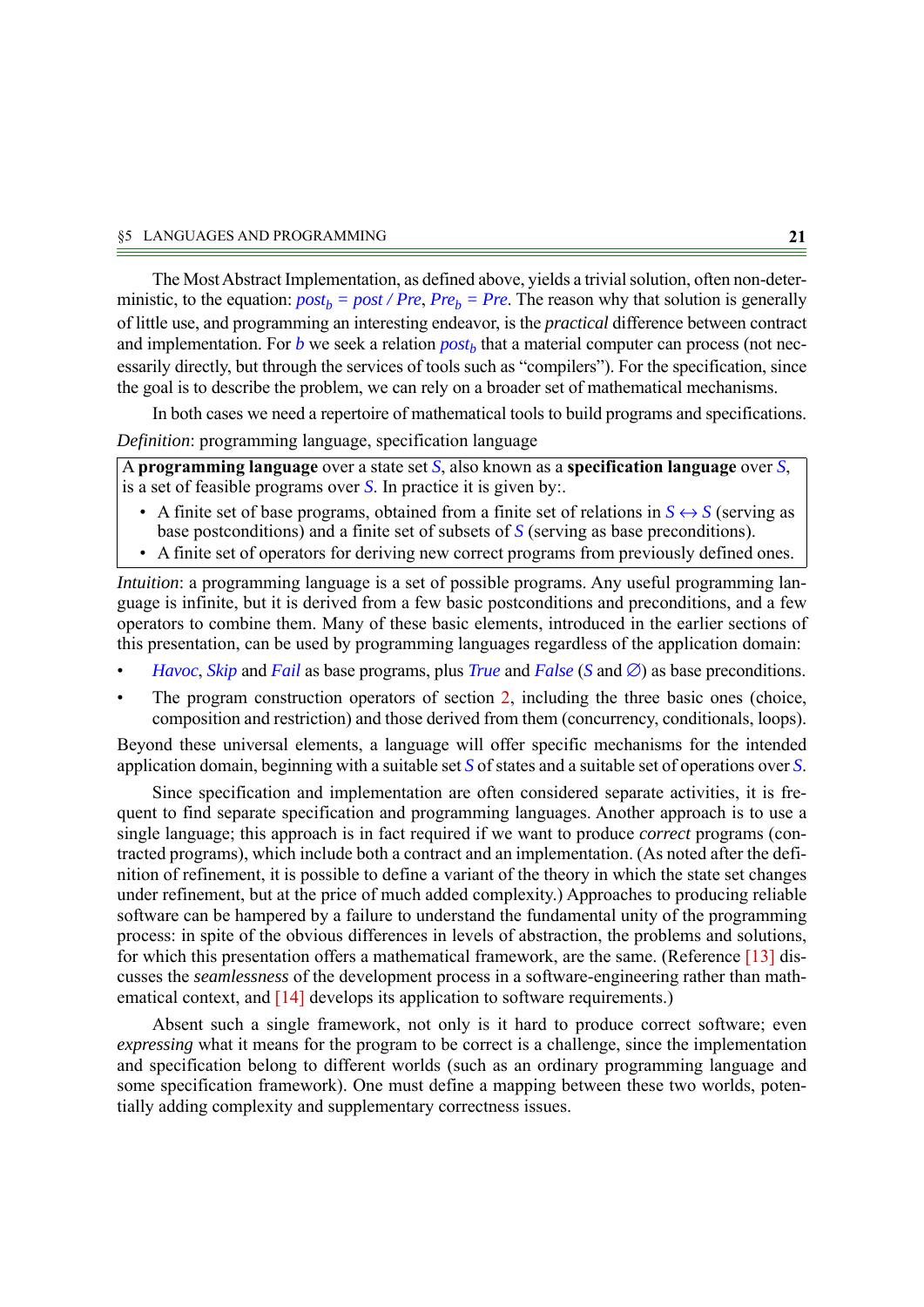The Most Abstract Implementation, as defined above, yields a trivial solution, often non-deterministic, to the equation:  $post_b = post / Pre$ ,  $Pre_b = Pre$ . The reason why that solution is generally of little use, and programming an interesting endeavor, is the *practical* difference between contract and implementation. For *b* we seek a relation  $post_b$  that a material computer can process (not necessarily directly, but through the services of tools such as "compilers"). For the specification, since the goal is to describe the problem, we can rely on a broader set of mathematical mechanisms.

In both cases we need a repertoire of mathematical tools to build programs and specifications.

### *Definition*: programming language, specification language

A **programming language** over a state set *S*, also known as a **specification language** over *S*, is a set of feasible programs over *S*. In practice it is given by:.

- A finite set of base programs, obtained from a finite set of relations in  $S \leftrightarrow S$  (serving as base postconditions) and a finite set of subsets of *S* (serving as base preconditions).
- A finite set of operators for deriving new correct programs from previously defined ones.

*Intuition*: a programming language is a set of possible programs. Any useful programming language is infinite, but it is derived from a few basic postconditions and preconditions, and a few operators to combine them. Many of these basic elements, introduced in the earlier sections of this presentation, can be used by programming languages regardless of the application domain:

- *Havoc*, *Skip* and *Fail* as base programs, plus *True* and *False* (*S* and ∅) as base preconditions.
- The program construction operators of section  $2$ , including the three basic ones (choice, composition and restriction) and those derived from them (concurrency, conditionals, loops).

Beyond these universal elements, a language will offer specific mechanisms for the intended application domain, beginning with a suitable set *S* of states and a suitable set of operations over *S*.

Since specification and implementation are often considered separate activities, it is frequent to find separate specification and programming languages. Another approach is to use a single language; this approach is in fact required if we want to produce *correct* programs (contracted programs), which include both a contract and an implementation. (As noted after the definition of refinement, it is possible to define a variant of the theory in which the state set changes under refinement, but at the price of much added complexity.) Approaches to producing reliable software can be hampered by a failure to understand the fundamental unity of the programming process: in spite of the obvious differences in levels of abstraction, the problems and solutions, for which this presentation offers a mathematical framework, are the same. (Reference [\[13\]](#page-27-2) discusses the *seamlessness* of the development process in a software-engineering rather than math-ematical context, and [\[14\]](#page-27-3) develops its application to software requirements.)

Absent such a single framework, not only is it hard to produce correct software; even *expressing* what it means for the program to be correct is a challenge, since the implementation and specification belong to different worlds (such as an ordinary programming language and some specification framework). One must define a mapping between these two worlds, potentially adding complexity and supplementary correctness issues.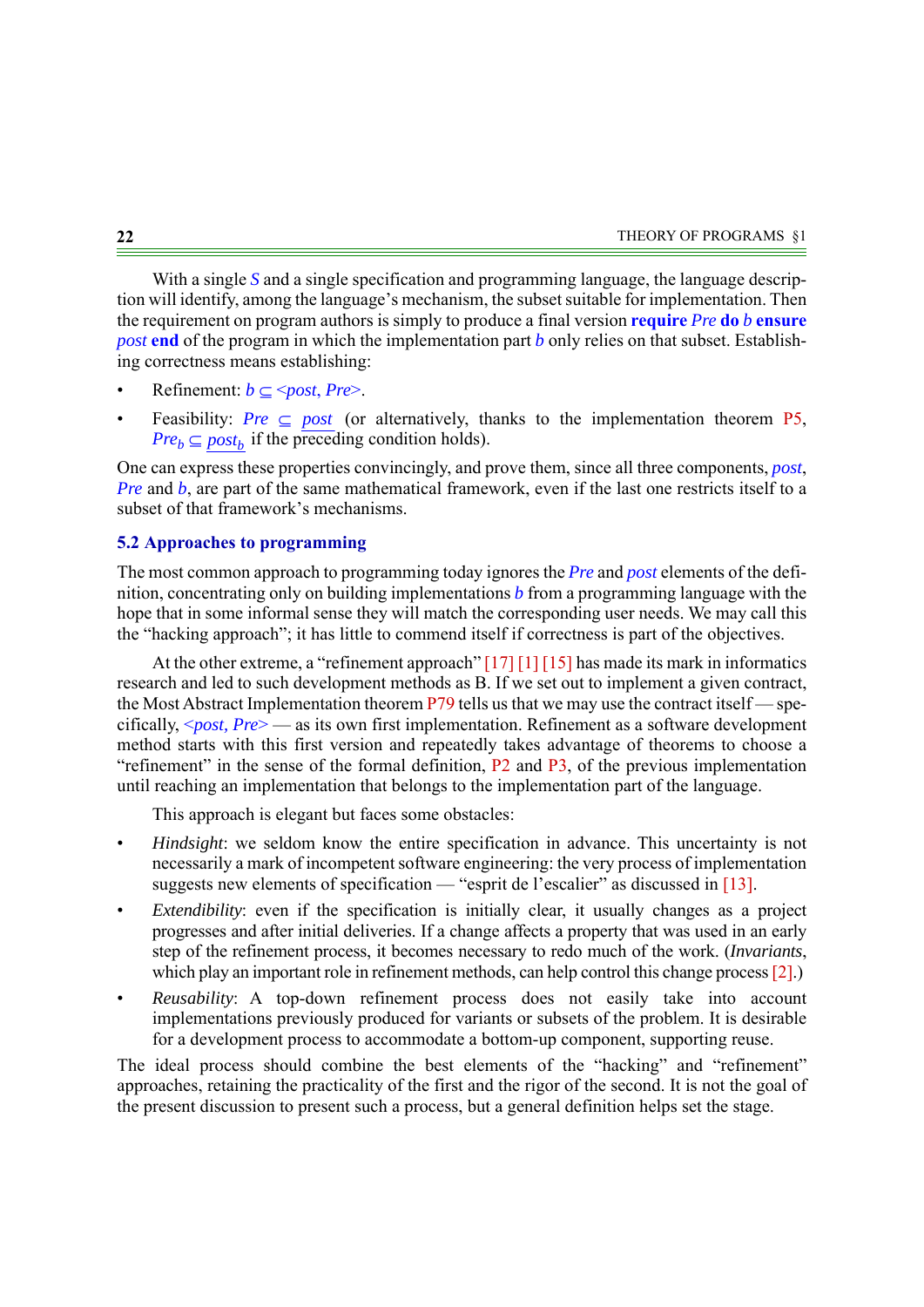With a single *S* and a single specification and programming language, the language description will identify, among the language's mechanism, the subset suitable for implementation. Then the requirement on program authors is simply to produce a final version **require** *Pre* **do** *b* **ensure** *post* **end** of the program in which the implementation part *b* only relies on that subset. Establishing correctness means establishing:

- Refinement:  $b \subset \leq post$ , *Pre* $>$ .
- Feasibility:  $Pre \subseteq post$  (or alternatively, thanks to the implementation theorem [P5](#page-3-1),  $Pre_b \subseteq post_b$  if the preceding condition holds).

One can express these properties convincingly, and prove them, since all three components, *post*, *Pre* and *b*, are part of the same mathematical framework, even if the last one restricts itself to a subset of that framework's mechanisms.

### <span id="page-21-0"></span>**5.2 Approaches to programming**

The most common approach to programming today ignores the *Pre* and *post* elements of the definition, concentrating only on building implementations *b* from a programming language with the hope that in some informal sense they will match the corresponding user needs. We may call this the "hacking approach"; it has little to commend itself if correctness is part of the objectives.

At the other extreme, a "refinement approach"  $[17]$   $[1]$   $[15]$  has made its mark in informatics research and led to such development methods as B. If we set out to implement a given contract, the Most Abstract Implementation theorem [P79](#page-16-1) tells us that we may use the contract itself — specifically, <*post, Pre*> — as its own first implementation. Refinement as a software development method starts with this first version and repeatedly takes advantage of theorems to choose a "refinement" in the sense of the formal definition, [P2](#page-2-1) and [P3,](#page-2-2) of the previous implementation until reaching an implementation that belongs to the implementation part of the language.

This approach is elegant but faces some obstacles:

- *Hindsight*: we seldom know the entire specification in advance. This uncertainty is not necessarily a mark of incompetent software engineering: the very process of implementation suggests new elements of specification — "esprit de l'escalier" as discussed in [\[13\]](#page-27-2).
- *Extendibility*: even if the specification is initially clear, it usually changes as a project progresses and after initial deliveries. If a change affects a property that was used in an early step of the refinement process, it becomes necessary to redo much of the work. (*Invariants*, which play an important role in refinement methods, can help control this change process [\[2\]](#page-26-3).)
- *Reusability*: A top-down refinement process does not easily take into account implementations previously produced for variants or subsets of the problem. It is desirable for a development process to accommodate a bottom-up component, supporting reuse.

The ideal process should combine the best elements of the "hacking" and "refinement" approaches, retaining the practicality of the first and the rigor of the second. It is not the goal of the present discussion to present such a process, but a general definition helps set the stage.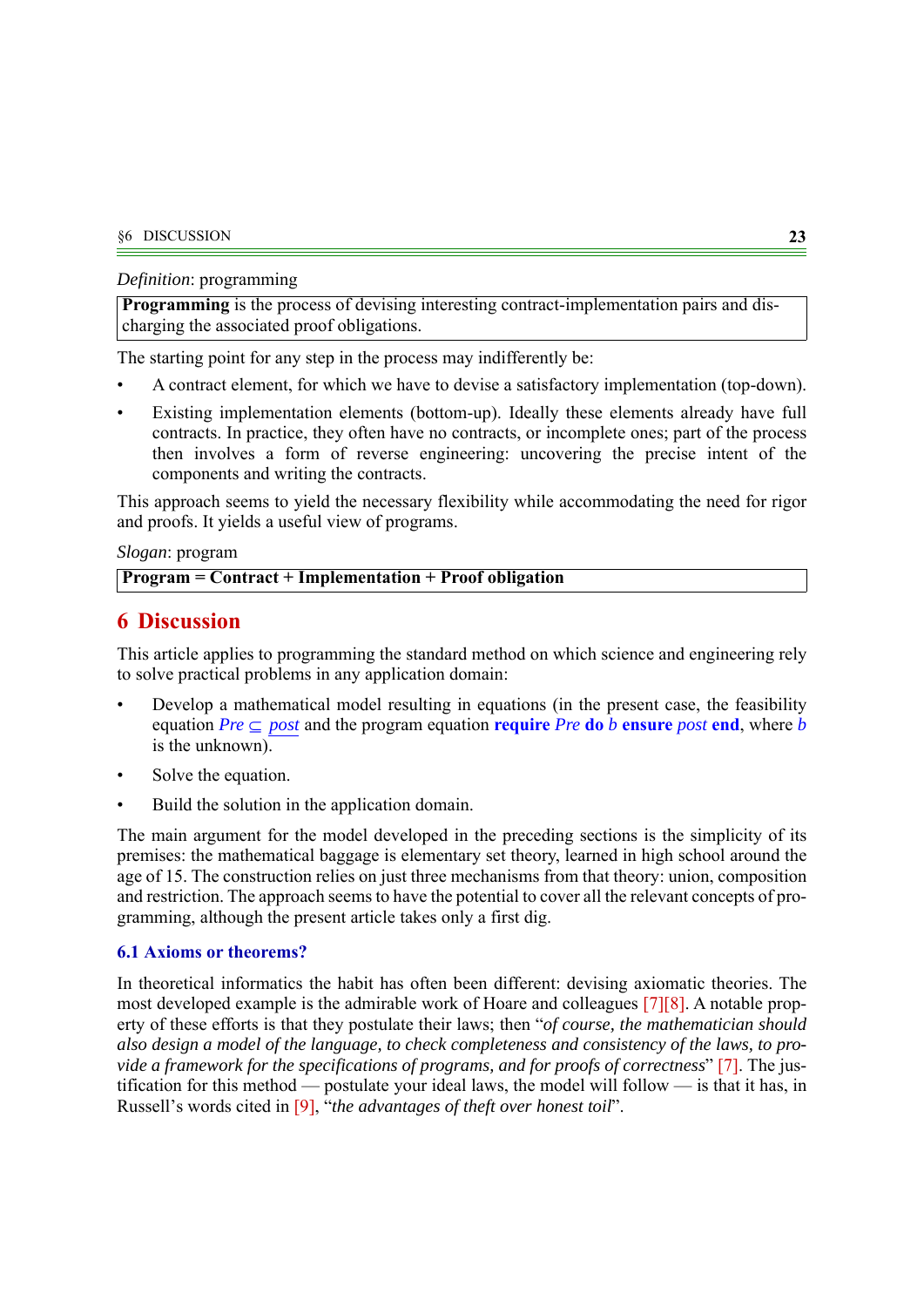*Definition*: programming

**Programming** is the process of devising interesting contract-implementation pairs and discharging the associated proof obligations.

The starting point for any step in the process may indifferently be:

- A contract element, for which we have to devise a satisfactory implementation (top-down).
- Existing implementation elements (bottom-up). Ideally these elements already have full contracts. In practice, they often have no contracts, or incomplete ones; part of the process then involves a form of reverse engineering: uncovering the precise intent of the components and writing the contracts.

This approach seems to yield the necessary flexibility while accommodating the need for rigor and proofs. It yields a useful view of programs.

*Slogan*: program

**Program = Contract + Implementation + Proof obligation**

# <span id="page-22-0"></span>**6 Discussion**

This article applies to programming the standard method on which science and engineering rely to solve practical problems in any application domain:

- Develop a mathematical model resulting in equations (in the present case, the feasibility equation  $Pre \subseteq post$  and the program equation **require** *Pre* **do** *b* **ensure** *post* **end**, where *b* is the unknown).
- Solve the equation.
- Build the solution in the application domain.

The main argument for the model developed in the preceding sections is the simplicity of its premises: the mathematical baggage is elementary set theory, learned in high school around the age of 15. The construction relies on just three mechanisms from that theory: union, composition and restriction. The approach seems to have the potential to cover all the relevant concepts of programming, although the present article takes only a first dig.

# **6.1 Axioms or theorems?**

In theoretical informatics the habit has often been different: devising axiomatic theories. The most developed example is the admirable work of Hoare and colleagues [\[7\]](#page-27-6)[\[8\].](#page-27-0) A notable property of these efforts is that they postulate their laws; then "*of course, the mathematician should also design a model of the language, to check completeness and consistency of the laws, to provide a framework for the specifications of programs, and for proofs of correctness*" [\[7\]](#page-27-6). The justification for this method — postulate your ideal laws, the model will follow — is that it has, in Russell's words cited in [\[9\]](#page-27-7), "*the advantages of theft over honest toil*".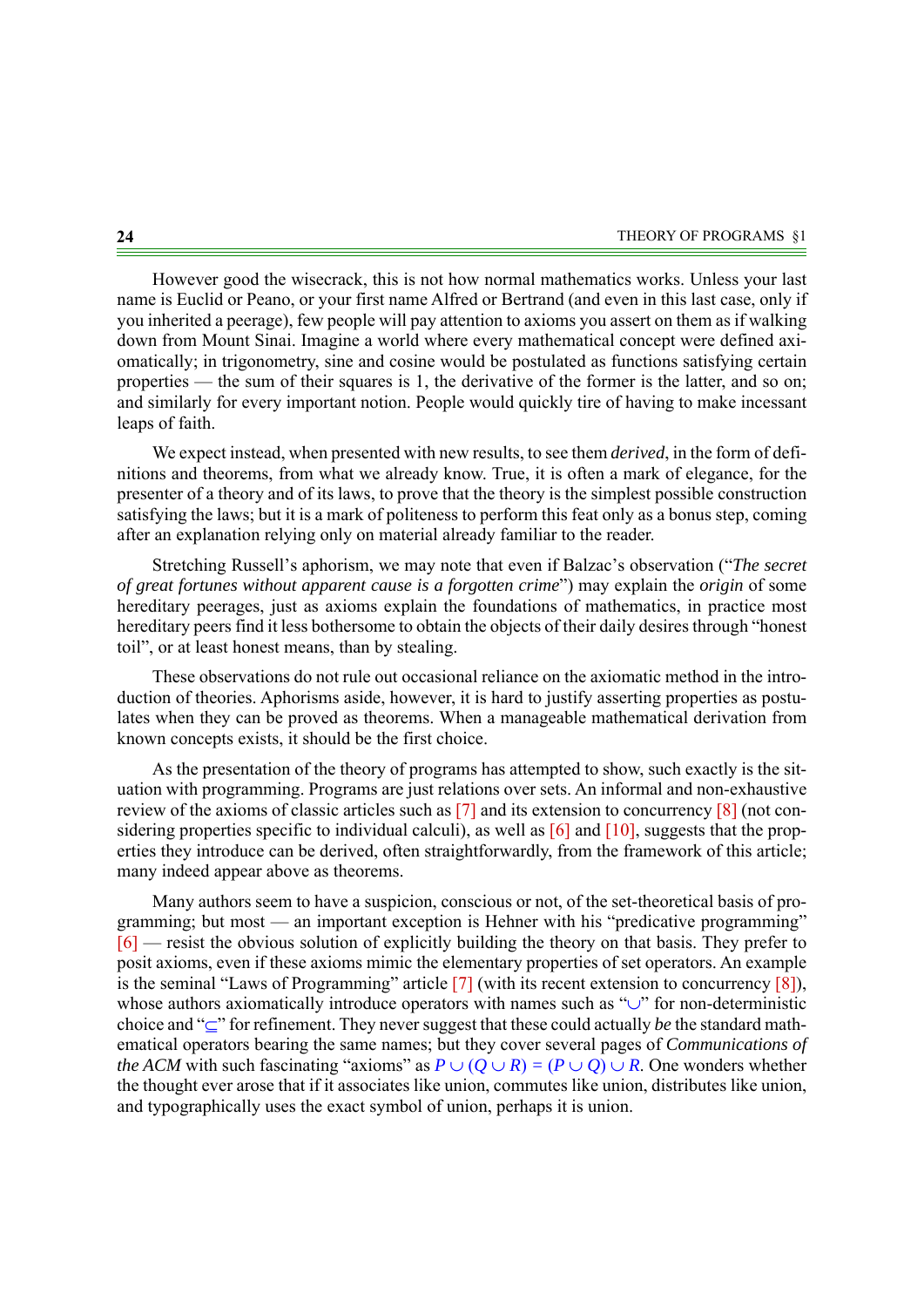However good the wisecrack, this is not how normal mathematics works. Unless your last name is Euclid or Peano, or your first name Alfred or Bertrand (and even in this last case, only if you inherited a peerage), few people will pay attention to axioms you assert on them as if walking down from Mount Sinai. Imagine a world where every mathematical concept were defined axiomatically; in trigonometry, sine and cosine would be postulated as functions satisfying certain properties — the sum of their squares is 1, the derivative of the former is the latter, and so on; and similarly for every important notion. People would quickly tire of having to make incessant leaps of faith.

We expect instead, when presented with new results, to see them *derived*, in the form of definitions and theorems, from what we already know. True, it is often a mark of elegance, for the presenter of a theory and of its laws, to prove that the theory is the simplest possible construction satisfying the laws; but it is a mark of politeness to perform this feat only as a bonus step, coming after an explanation relying only on material already familiar to the reader.

Stretching Russell's aphorism, we may note that even if Balzac's observation ("*The secret of great fortunes without apparent cause is a forgotten crime*") may explain the *origin* of some hereditary peerages, just as axioms explain the foundations of mathematics, in practice most hereditary peers find it less bothersome to obtain the objects of their daily desires through "honest toil", or at least honest means, than by stealing.

These observations do not rule out occasional reliance on the axiomatic method in the introduction of theories. Aphorisms aside, however, it is hard to justify asserting properties as postulates when they can be proved as theorems. When a manageable mathematical derivation from known concepts exists, it should be the first choice.

As the presentation of the theory of programs has attempted to show, such exactly is the situation with programming. Programs are just relations over sets. An informal and non-exhaustive review of the axioms of classic articles such as [\[7\]](#page-27-6) and its extension to concurrency [\[8\]](#page-27-0) (not considering properties specific to individual calculi), as well as  $[6]$  and  $[10]$ , suggests that the properties they introduce can be derived, often straightforwardly, from the framework of this article; many indeed appear above as theorems.

Many authors seem to have a suspicion, conscious or not, of the set-theoretical basis of programming; but most — an important exception is Hehner with his "predicative programming"  $[6]$  — resist the obvious solution of explicitly building the theory on that basis. They prefer to posit axioms, even if these axioms mimic the elementary properties of set operators. An example is the seminal "Laws of Programming" article  $[7]$  (with its recent extension to concurrency  $[8]$ ), whose authors axiomatically introduce operators with names such as "∪" for non-deterministic choice and "⊆" for refinement. They never suggest that these could actually *be* the standard mathematical operators bearing the same names; but they cover several pages of *Communications of the ACM* with such fascinating "axioms" as  $P \cup (Q \cup R) = (P \cup Q) \cup R$ . One wonders whether the thought ever arose that if it associates like union, commutes like union, distributes like union, and typographically uses the exact symbol of union, perhaps it is union.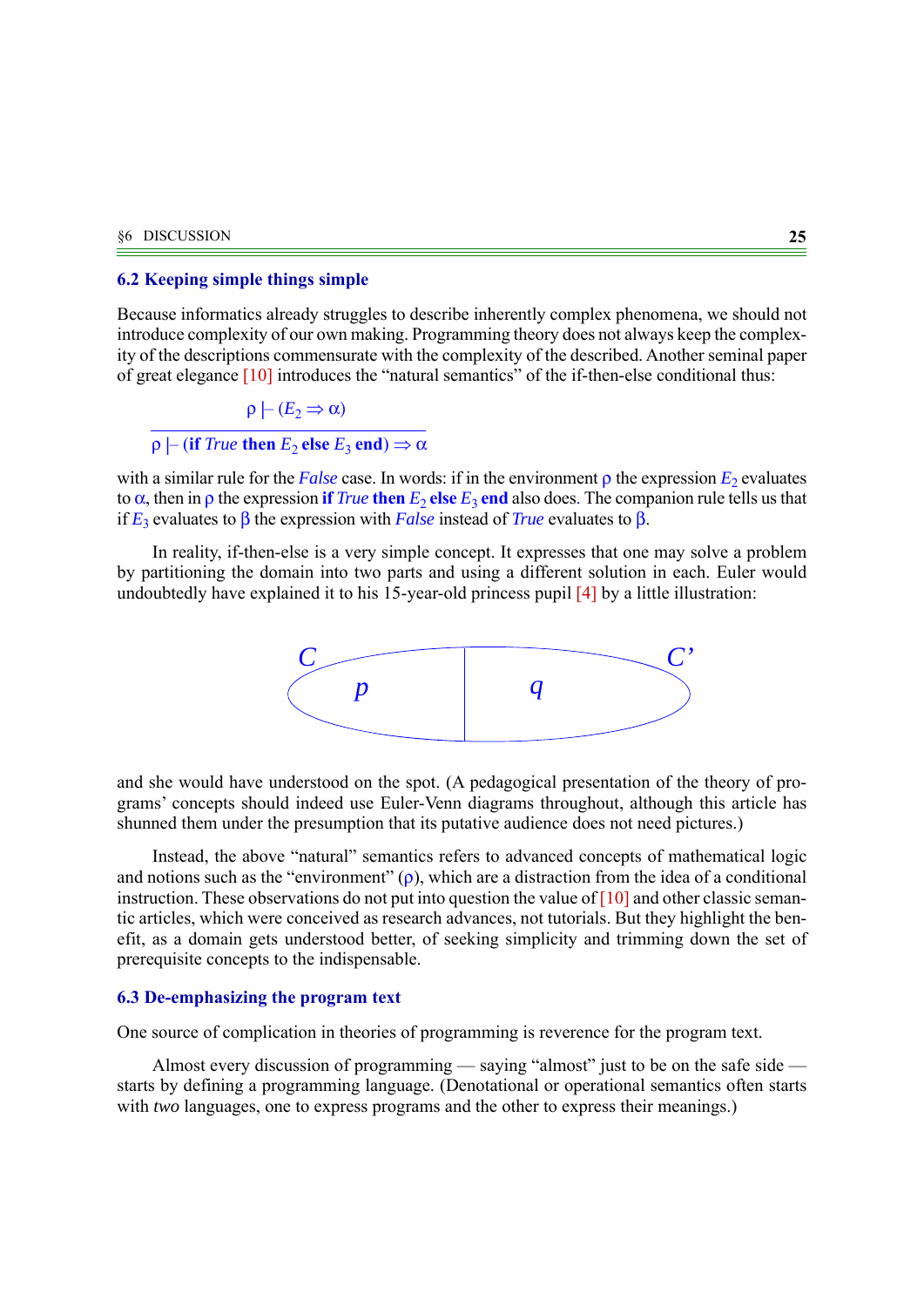#### **6.2 Keeping simple things simple**

Because informatics already struggles to describe inherently complex phenomena, we should not introduce complexity of our own making. Programming theory does not always keep the complexity of the descriptions commensurate with the complexity of the described. Another seminal paper of great elegance [\[10\]](#page-27-8) introduces the "natural semantics" of the if-then-else conditional thus:

 $\rho$  |–  $(E_2 \Rightarrow \alpha)$ 

 $\rho$  |– (**if** *True* **then**  $E_2$  **else**  $E_3$  **end**)  $\Rightarrow \alpha$ 

with a similar rule for the *False* case. In words: if in the environment  $\rho$  the expression  $E_2$  evaluates to α, then in ρ the expression if *True* then  $E_2$  else  $E_3$  end also does. The companion rule tells us that if *E*3 evaluates to β the expression with *False* instead of *True* evaluates to β.

In reality, if-then-else is a very simple concept. It expresses that one may solve a problem by partitioning the domain into two parts and using a different solution in each. Euler would undoubtedly have explained it to his 15-year-old princess pupil [\[4\]](#page-26-5) by a little illustration:



and she would have understood on the spot. (A pedagogical presentation of the theory of programs' concepts should indeed use Euler-Venn diagrams throughout, although this article has shunned them under the presumption that its putative audience does not need pictures.)

Instead, the above "natural" semantics refers to advanced concepts of mathematical logic and notions such as the "environment"  $(\rho)$ , which are a distraction from the idea of a conditional instruction. These observations do not put into question the value of  $[10]$  and other classic semantic articles, which were conceived as research advances, not tutorials. But they highlight the benefit, as a domain gets understood better, of seeking simplicity and trimming down the set of prerequisite concepts to the indispensable.

#### **6.3 De-emphasizing the program text**

One source of complication in theories of programming is reverence for the program text.

Almost every discussion of programming — saying "almost" just to be on the safe side starts by defining a programming language. (Denotational or operational semantics often starts with *two* languages, one to express programs and the other to express their meanings.)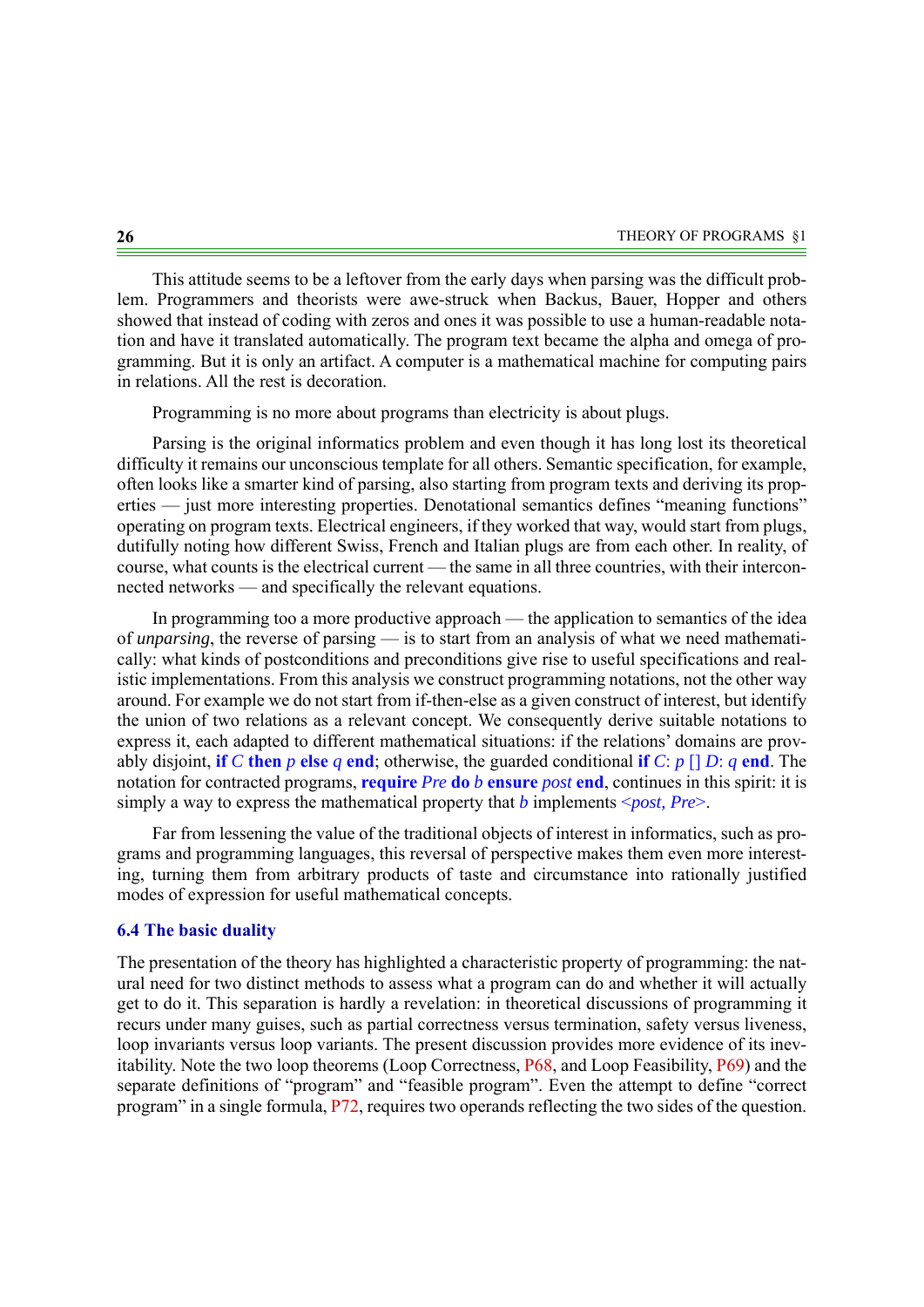This attitude seems to be a leftover from the early days when parsing was the difficult problem. Programmers and theorists were awe-struck when Backus, Bauer, Hopper and others showed that instead of coding with zeros and ones it was possible to use a human-readable notation and have it translated automatically. The program text became the alpha and omega of programming. But it is only an artifact. A computer is a mathematical machine for computing pairs in relations. All the rest is decoration.

Programming is no more about programs than electricity is about plugs.

Parsing is the original informatics problem and even though it has long lost its theoretical difficulty it remains our unconscious template for all others. Semantic specification, for example, often looks like a smarter kind of parsing, also starting from program texts and deriving its properties — just more interesting properties. Denotational semantics defines "meaning functions" operating on program texts. Electrical engineers, if they worked that way, would start from plugs, dutifully noting how different Swiss, French and Italian plugs are from each other. In reality, of course, what counts is the electrical current — the same in all three countries, with their interconnected networks — and specifically the relevant equations.

In programming too a more productive approach — the application to semantics of the idea of *unparsing*, the reverse of parsing — is to start from an analysis of what we need mathematically: what kinds of postconditions and preconditions give rise to useful specifications and realistic implementations. From this analysis we construct programming notations, not the other way around. For example we do not start from if-then-else as a given construct of interest, but identify the union of two relations as a relevant concept. We consequently derive suitable notations to express it, each adapted to different mathematical situations: if the relations' domains are provably disjoint, **if** *C* **then** *p* **else** *q* **end**; otherwise, the guarded conditional **if** *C*: *p* [] *D*: *q* **end**. The notation for contracted programs, **require** *Pre* **do** *b* **ensure** *post* **end**, continues in this spirit: it is simply a way to express the mathematical property that *b* implements <*post, Pre*>.

Far from lessening the value of the traditional objects of interest in informatics, such as programs and programming languages, this reversal of perspective makes them even more interesting, turning them from arbitrary products of taste and circumstance into rationally justified modes of expression for useful mathematical concepts.

#### **6.4 The basic duality**

The presentation of the theory has highlighted a characteristic property of programming: the natural need for two distinct methods to assess what a program can do and whether it will actually get to do it. This separation is hardly a revelation: in theoretical discussions of programming it recurs under many guises, such as partial correctness versus termination, safety versus liveness, loop invariants versus loop variants. The present discussion provides more evidence of its inevitability. Note the two loop theorems (Loop Correctness, [P68](#page-12-0), and Loop Feasibility, [P69\)](#page-13-0) and the separate definitions of "program" and "feasible program". Even the attempt to define "correct program" in a single formula, [P72](#page-15-1), requires two operands reflecting the two sides of the question.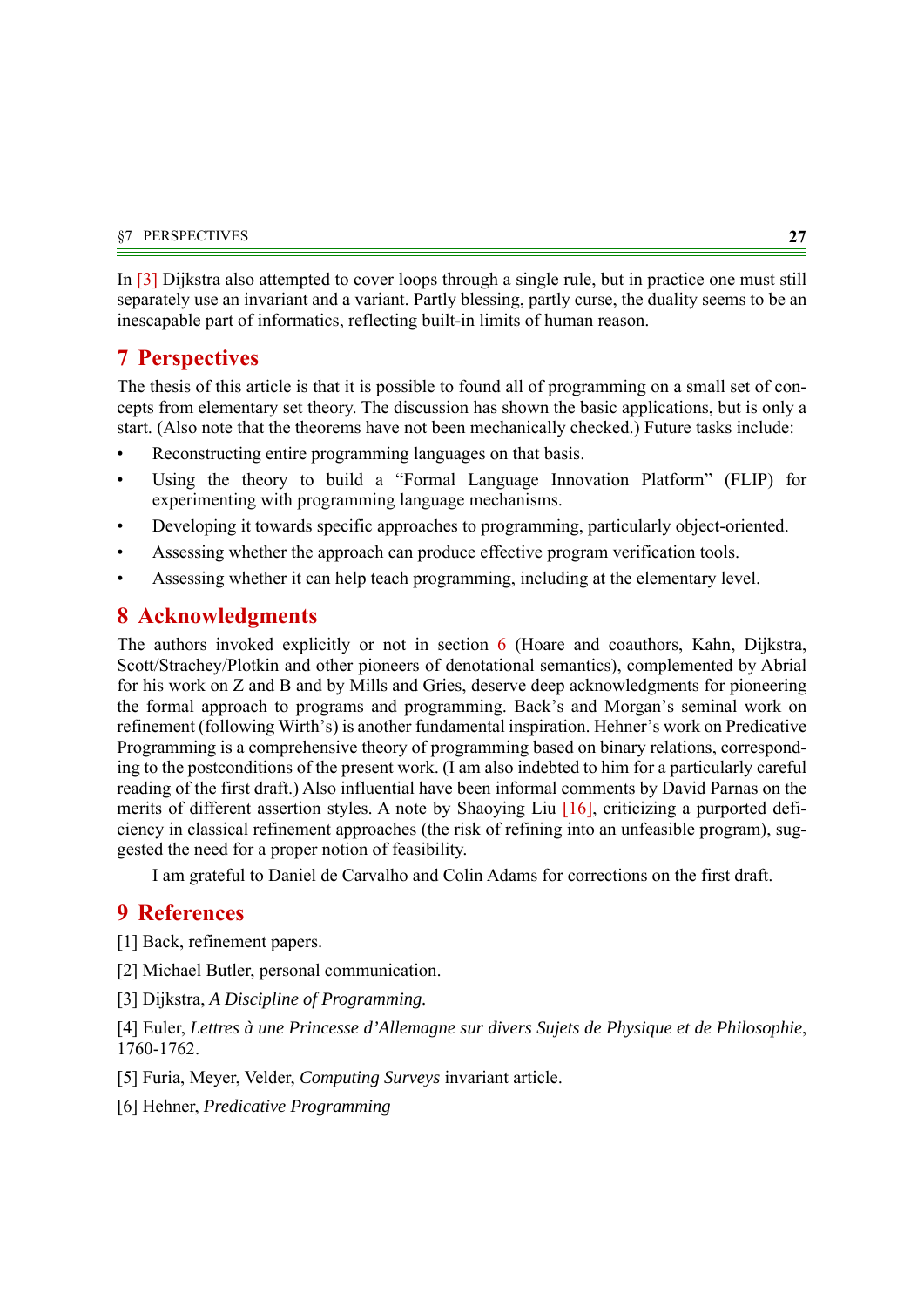In [\[3\]](#page-26-0) Dijkstra also attempted to cover loops through a single rule, but in practice one must still separately use an invariant and a variant. Partly blessing, partly curse, the duality seems to be an inescapable part of informatics, reflecting built-in limits of human reason.

# **7 Perspectives**

The thesis of this article is that it is possible to found all of programming on a small set of concepts from elementary set theory. The discussion has shown the basic applications, but is only a start. (Also note that the theorems have not been mechanically checked.) Future tasks include:

- Reconstructing entire programming languages on that basis.
- Using the theory to build a "Formal Language Innovation Platform" (FLIP) for experimenting with programming language mechanisms.
- Developing it towards specific approaches to programming, particularly object-oriented.
- Assessing whether the approach can produce effective program verification tools.
- Assessing whether it can help teach programming, including at the elementary level.

# **8 Acknowledgments**

The authors invoked explicitly or not in section [6](#page-22-0) (Hoare and coauthors, Kahn, Dijkstra, Scott/Strachey/Plotkin and other pioneers of denotational semantics), complemented by Abrial for his work on Z and B and by Mills and Gries, deserve deep acknowledgments for pioneering the formal approach to programs and programming. Back's and Morgan's seminal work on refinement (following Wirth's) is another fundamental inspiration. Hehner's work on Predicative Programming is a comprehensive theory of programming based on binary relations, corresponding to the postconditions of the present work. (I am also indebted to him for a particularly careful reading of the first draft.) Also influential have been informal comments by David Parnas on the merits of different assertion styles. A note by Shaoying Liu [\[16\],](#page-27-9) criticizing a purported deficiency in classical refinement approaches (the risk of refining into an unfeasible program), suggested the need for a proper notion of feasibility.

I am grateful to Daniel de Carvalho and Colin Adams for corrections on the first draft.

# **9 References**

<span id="page-26-2"></span>[1] Back, refinement papers.

<span id="page-26-3"></span>[2] Michael Butler, personal communication.

<span id="page-26-0"></span>[3] Dijkstra, *A Discipline of Programming.*

<span id="page-26-5"></span>[4] Euler, *Lettres à une Princesse d'Allemagne sur divers Sujets de Physique et de Philosophie*, 1760-1762.

<span id="page-26-1"></span>[5] Furia, Meyer, Velder, *Computing Surveys* invariant article.

<span id="page-26-4"></span>[6] Hehner, *Predicative Programming*